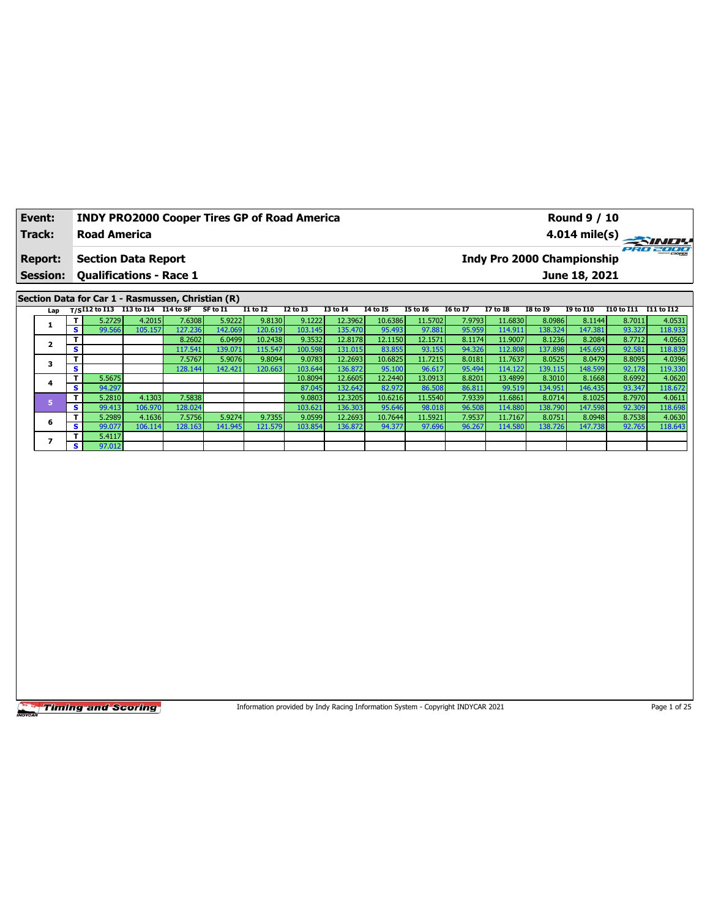| Event:          |            |                            |                                | <b>INDY PRO2000 Cooper Tires GP of Road America</b> |          |                 |          |                 |          |                 |                 |                 |                                   | <b>Round 9 / 10</b> |            |                         |
|-----------------|------------|----------------------------|--------------------------------|-----------------------------------------------------|----------|-----------------|----------|-----------------|----------|-----------------|-----------------|-----------------|-----------------------------------|---------------------|------------|-------------------------|
| Track:          |            | <b>Road America</b>        |                                |                                                     |          |                 |          |                 |          |                 |                 |                 |                                   |                     |            | $4.014 \text{ mile(s)}$ |
| <b>Report:</b>  |            |                            | <b>Section Data Report</b>     |                                                     |          |                 |          |                 |          |                 |                 |                 | <b>Indy Pro 2000 Championship</b> |                     |            | PRO 2000                |
| <b>Session:</b> |            |                            | <b>Qualifications - Race 1</b> |                                                     |          |                 |          |                 |          |                 |                 |                 |                                   | June 18, 2021       |            |                         |
|                 |            |                            |                                |                                                     |          |                 |          |                 |          |                 |                 |                 |                                   |                     |            |                         |
|                 |            |                            |                                | Section Data for Car 1 - Rasmussen, Christian (R)   |          |                 |          |                 |          |                 |                 |                 |                                   |                     |            |                         |
| Lap             |            | T/SI12 to $\overline{113}$ | I13 to I14 I14 to SF           |                                                     | SF to I1 | <b>I1 to I2</b> | I2 to I3 | <b>I3 to I4</b> | 14 to 15 | <b>I5 to 16</b> | <b>16 to 17</b> | <b>I7 to I8</b> | <b>I8 to 19</b>                   | <b>19 to I10</b>    | I10 to I11 | I11 to I12              |
|                 |            | 5.2729                     | 4.2015                         | 7.6308                                              | 5.9222   | 9.8130          | 9.1222   | 12.3962         | 10.6386  | 11.5702         | 7.9793          | 11.6830         | 8.0986                            | 8.1144              | 8.7011     | 4.0531                  |
|                 | s          | 99.566                     | 105.157                        | 127.236                                             | 142.069  | 120.619         | 103.145  | 135.470         | 95.493   | 97.881          | 95.959          | 114.911         | 138.324                           | 147.381             | 93.327     | 118.933                 |
| $\overline{2}$  |            |                            |                                | 8.2602                                              | 6.0499   | 10.2438         | 9.3532   | 12.8178         | 12.1150  | 12.1571         | 8.1174          | 11.9007         | 8.1236                            | 8.2084              | 8.7712     | 4.0563                  |
|                 | s          |                            |                                | 117.541                                             | 139.071  | 115.547         | 100.598  | 131.015         | 83.855   | 93.155          | 94.326          | 112.808         | 137.898                           | 145.693             | 92.581     | 118.839                 |
| 3               |            |                            |                                | 7.5767                                              | 5.9076   | 9.8094          | 9.0783   | 12.2693         | 10.6825  | 11.7215         | 8.0181          | 11.7637         | 8.0525                            | 8.0479              | 8.8095     | 4.0396                  |
|                 | s          |                            |                                | 128.144                                             | 142.421  | 120.663         | 103.644  | 136.872         | 95.100   | 96.617          | 95.494          | 114.122         | 139.115                           | 148.599             | 92.178     | 119.330                 |
|                 |            | 5.5675                     |                                |                                                     |          |                 | 10.8094  | 12.6605         | 12.2440  | 13.0913         | 8.8201          | 13.4899         | 8.3010                            | 8.1668              | 8.6992     | 4.0620                  |
| 4               | $\epsilon$ | 04.207                     |                                |                                                     |          |                 | 0704F    | 1226            | 02022    | $OC$ $EAO$      | 00.011          | 00F10           | 124051                            | $14C$ $AD$          | 02.247     | 110.772                 |

**S** 94.297 87.045 132.642 82.972 86.508 86.811 99.519 134.951 146.435 93.347 118.672 **5 T** 5.2810 4.1303 7.5838 9.0803 12.3205 10.6216 11.5540 7.9339 10.6216 1.16861 8.0714 8.1025 8.7970 4.10611 **S** 99.413 106.970 128.024 103.621 136.303 95.646 98.018 96.508 114.880 138.790 147.598 92.309 118.698 **6 T** 5.2989 4.1636 7.5756 5.9274 9.7355 9.0599 12.26931 10.7644 11.5921 7.9537 11.7167 8.0751 8.0948 8.7538 4.0630<br>**6 T 9.0877 102.114 120.1150 111.0451 121.570 103.054 122.0931 0.1637 0.1637 11.4538 11.4538 4.3758 120. S** 99.077 106.114 128.163 141.945 121.579 103.854 136.872 94.377 97.696 96.267 114.580 138.726 147.738 92.765 118.643

**Timing and Scoring** 

**7 b**  $\frac{1}{\mathbf{S}}$  **c**  $\frac{5.4117}{97.012}$ 

Information provided by Indy Racing Information System - Copyright INDYCAR 2021 Page 1 of 25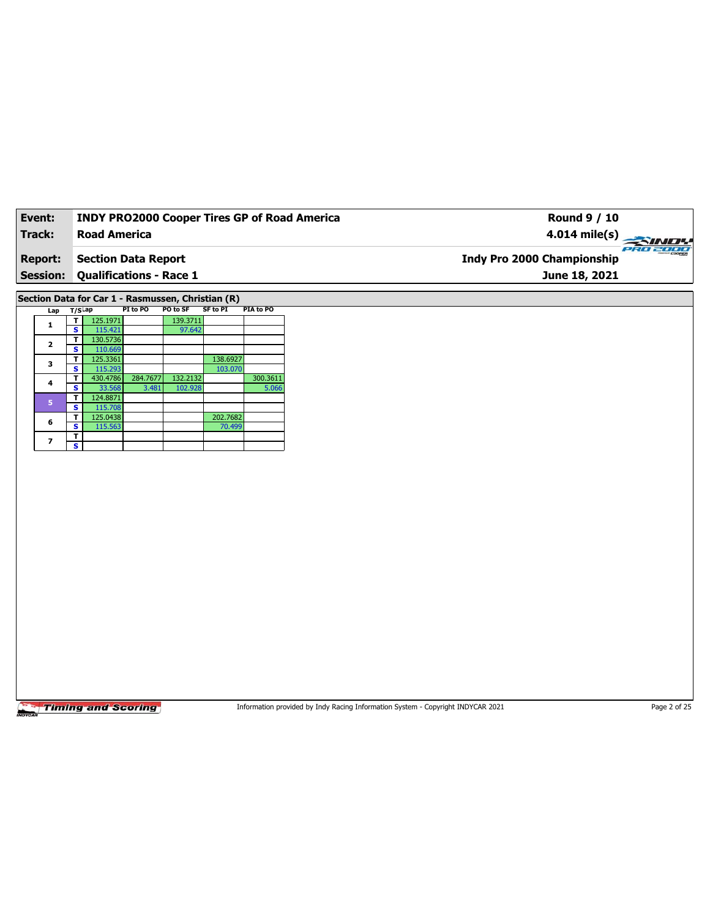| Event:         |                 |                                      | <b>INDY PRO2000 Cooper Tires GP of Road America</b> |                     |                    |                   | <b>Round 9 / 10</b>               |  |
|----------------|-----------------|--------------------------------------|-----------------------------------------------------|---------------------|--------------------|-------------------|-----------------------------------|--|
| Track:         |                 |                                      | <b>Road America</b>                                 |                     |                    |                   | 4.014 mile(s) $\frac{1}{2}$       |  |
| <b>Report:</b> |                 |                                      | <b>Section Data Report</b>                          |                     |                    |                   | <b>Indy Pro 2000 Championship</b> |  |
|                | <b>Session:</b> |                                      | <b>Qualifications - Race 1</b>                      |                     |                    |                   | June 18, 2021                     |  |
|                |                 |                                      | Section Data for Car 1 - Rasmussen, Christian (R)   |                     |                    |                   |                                   |  |
|                |                 | Lap T/SLap                           | PI to PO                                            | PO to SF            | <b>SF to PI</b>    | PIA to PO         |                                   |  |
|                | $\mathbf{1}$    | 125.1971<br>τI<br>s.<br>115.421      |                                                     | 139.3711<br>97.642  |                    |                   |                                   |  |
|                | $\mathbf{2}$    | 130.5736<br>т<br><b>S</b><br>110.669 |                                                     |                     |                    |                   |                                   |  |
|                | 3               | 125.3361<br>T.                       |                                                     |                     | 138.6927           |                   |                                   |  |
|                |                 | 115.293<br>s.                        |                                                     |                     | 103.070            |                   |                                   |  |
|                | 4               | 430.4786<br>т<br>33.568<br>s         | 284.7677<br>3.481                                   | 132.2132<br>102.928 |                    | 300.3611<br>5.066 |                                   |  |
|                | 5               | T.<br>124.8871                       |                                                     |                     |                    |                   |                                   |  |
|                |                 | <b>S</b><br>115.708                  |                                                     |                     |                    |                   |                                   |  |
|                | 6               | 125.0438<br>T.<br>s.<br>115.563      |                                                     |                     | 202.7682<br>70.499 |                   |                                   |  |
|                | 7               | T                                    |                                                     |                     |                    |                   |                                   |  |
|                |                 | s                                    |                                                     |                     |                    |                   |                                   |  |

Information provided by Indy Racing Information System - Copyright INDYCAR 2021 Page 2 of 25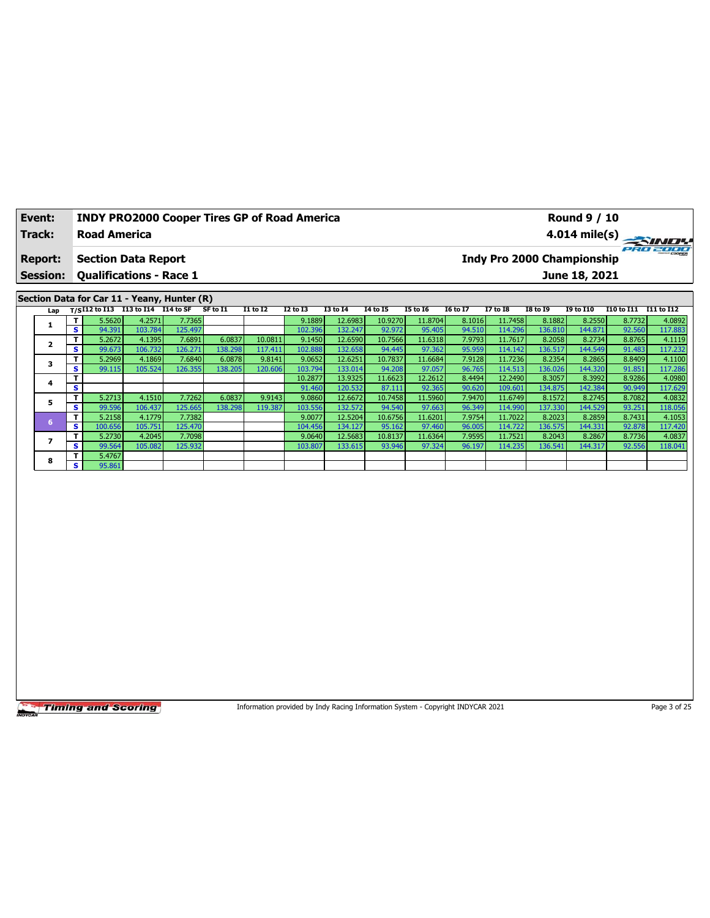| Event:         | <b>INDY PRO2000 Cooper Tires GP of Road America</b> | <b>Round 9 / 10</b>                           |
|----------------|-----------------------------------------------------|-----------------------------------------------|
| Track:         | <b>Road America</b>                                 | $4.014 \text{ mile(s)}$                       |
| <b>Report:</b> | <b>Section Data Report</b>                          | eRo 2000<br><b>Indy Pro 2000 Championship</b> |
|                | <b>Session: Qualifications - Race 1</b>             | June 18, 2021                                 |
|                | Section Data for Car 11 - Yeany, Hunter (R)         |                                               |

| Lap |              |         | $T/SI12$ to $I13$ $I13$ to $I14$ $I14$ to $SF$ |                  | SF to I1 | <b>I1 to I2</b> | <b>I2 to I3</b> | <b>I3 to I4</b> | 14 to 15 | <b>I5 to 16</b> | <b>16 to 17</b> | <b>I7 to I8</b> | I8 to 19 | <b>I9 to I10</b> | I10 to I11 | I11 to I12 |
|-----|--------------|---------|------------------------------------------------|------------------|----------|-----------------|-----------------|-----------------|----------|-----------------|-----------------|-----------------|----------|------------------|------------|------------|
|     | T            | 5.5620  | 4.2571                                         | 7.7365           |          |                 | 9.1889          | 12.6983         | 10.9270  | 11.8704         | 8.1016          | 11.7458         | 8.1882   | 8.2550           | 8.7732     | 4.0892     |
|     | IS I         | 94.391  | 103.784                                        | 125.497          |          |                 | 102.396         | 132.247         | 92.972   | 95.405          | 94.510          | 114.296         | 136.810  | 144.871          | 92.560     | 117.883    |
|     | Τ.           | 5.2672  | 4.1395                                         | 7.6891           | 6.0837   | 10.0811         | 9.1450          | 12.6590         | 10.7566  | 11.6318         | 7.9793          | 11.7617         | 8.2058   | 8.2734           | 8.8765     | 4.1119     |
|     | S            | 99.673  | 106.732                                        | 126.271          | 138.298  | 117.411         | 102.888         | 132.658         | 94.445   | 97.362          | 95.959          | 114.142         | 136.517  | 144.549          | 91.483     | 117.232    |
|     | T.           | 5.2969  | 4.1869                                         | 7.6840           | 6.0878   | 9.8141          | 9.0652          | 12.6251         | 10.7837  | 11.6684         | 7.9128          | 11.7236         | 8.2354   | 8.2865           | 8.8409     | 4.1100     |
|     | s.           | 99.115  | 105.524                                        | 126.355          | 138.205  | 120.606         | 103.794         | 133.014         | 94.208   | 97.057          | 96.765          | 114.513         | 136.026  | 144.320          | 91.851     | 117.286    |
|     | T.           |         |                                                |                  |          |                 | 10.2877         | 13.9325         | 11.6623  | 12.2612         | 8.4494          | 12.2490         | 8.3057   | 8.3992           | 8.9286     | 4.0980     |
| 4   | s.           |         |                                                |                  |          |                 | 91.460          | 120.532         | 87.111   | 92.365          | 90.620          | 109.601         | 134.875  | 142.384          | 90.949     | 117.629    |
| 5   | T.           | 5.2713  | 4.1510                                         | 7.7262           | 6.0837   | 9.9143          | 9.0860          | 12.6672         | 10.7458  | 11.5960         | 7.9470          | 11.6749         | 8.1572   | 8.2745           | 8.7082     | 4.0832     |
|     | s i          | 99.596  | 106.437                                        | 125.665 <b>I</b> | 138.298  | 119.387         | 103.556         | 132.572         | 94.540   | 97.663          | 96.349          | 114.990         | 137.330  | 144.529          | 93.251     | 118.056    |
| 6   | T.           | 5.2158  | 4.1779                                         | 7.7382           |          |                 | 9.0077          | 12.5204         | 10.6756  | 11.6201         | 7.9754          | 11.7022         | 8.2023   | 8.2859           | 8.7431     | 4.1053     |
|     | s.           | 100.656 | 105.751                                        | 125.470          |          |                 | 104.456         | 134.127         | 95.162   | 97.460          | 96.005          | 114.722         | 136.575  | 144.331          | 92.878     | 117.420    |
|     | Τ            | 5.2730  | 4.2045                                         | 7.7098           |          |                 | 9.0640          | 12.5683         | 10.8137  | 11.6364         | 7.9595          | 11.7521         | 8.2043   | 8.2867           | 8.7736     | 4.0837     |
|     | s.           | 99.564  | 105.082                                        | 125.932          |          |                 | 103.807         | 133.615         | 93.946   | 97.324          | 96.197          | 114.235         | 136.541  | 144.317          | 92.556     | 118.041    |
| 8   | $\mathbf{T}$ | 5.4767  |                                                |                  |          |                 |                 |                 |          |                 |                 |                 |          |                  |            |            |
|     | s l          | 95.861  |                                                |                  |          |                 |                 |                 |          |                 |                 |                 |          |                  |            |            |

Information provided by Indy Racing Information System - Copyright INDYCAR 2021 Page 3 of 25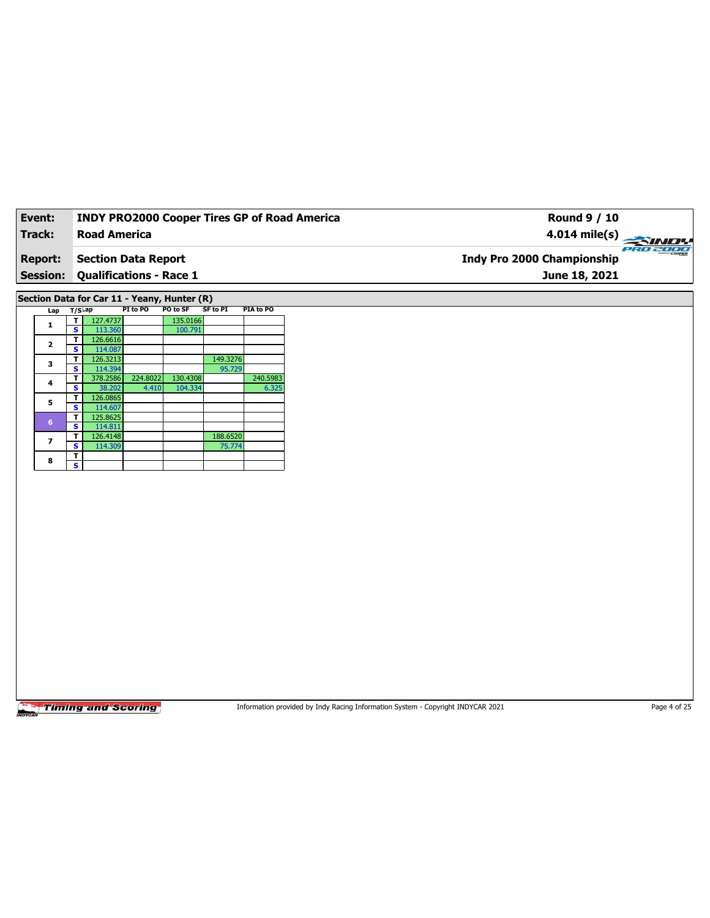| Event:                            | <b>INDY PRO2000 Cooper Tires GP of Road America</b>   | <b>Round 9 / 10</b>                                            |
|-----------------------------------|-------------------------------------------------------|----------------------------------------------------------------|
| Track:                            | <b>Road America</b>                                   | $4.014 \text{ mile(s)}$                                        |
| <b>Report:</b><br><b>Session:</b> | Section Data Report<br><b>Qualifications - Race 1</b> | PRO 2000<br><b>Indy Pro 2000 Championship</b><br>June 18, 2021 |
|                                   |                                                       |                                                                |

**Section Data for Car 11 - Yeany, Hunter (R)**

| Lap                     | $T/S$ ap |          | PI to PO | PO to SF | SF to PI | PIA to PO |
|-------------------------|----------|----------|----------|----------|----------|-----------|
| 1                       | т        | 127.4737 |          | 135.0166 |          |           |
|                         | s        | 113.360  |          | 100.791  |          |           |
| $\overline{\mathbf{2}}$ | т        | 126.6616 |          |          |          |           |
|                         | s        | 114.087  |          |          |          |           |
| 3                       | т        | 126.3213 |          |          | 149.3276 |           |
|                         | s        | 114.394  |          |          | 95.729   |           |
| 4                       | т        | 378.2586 | 224.8022 | 130.4308 |          | 240.5983  |
|                         | s        | 38.202   | 4.410    | 104.334  |          | 6.325     |
| 5                       | т        | 126.0865 |          |          |          |           |
|                         | s        | 114.607  |          |          |          |           |
| $6\phantom{a}$          | т        | 125.8625 |          |          |          |           |
|                         | s        | 114.811  |          |          |          |           |
| 7                       | т        | 126.4148 |          |          | 188.6520 |           |
|                         | S        | 114.309  |          |          | 75.774   |           |
| 8                       | т        |          |          |          |          |           |
|                         | s        |          |          |          |          |           |

**Timing and Scoring** 

Information provided by Indy Racing Information System - Copyright INDYCAR 2021 Page 4 of 25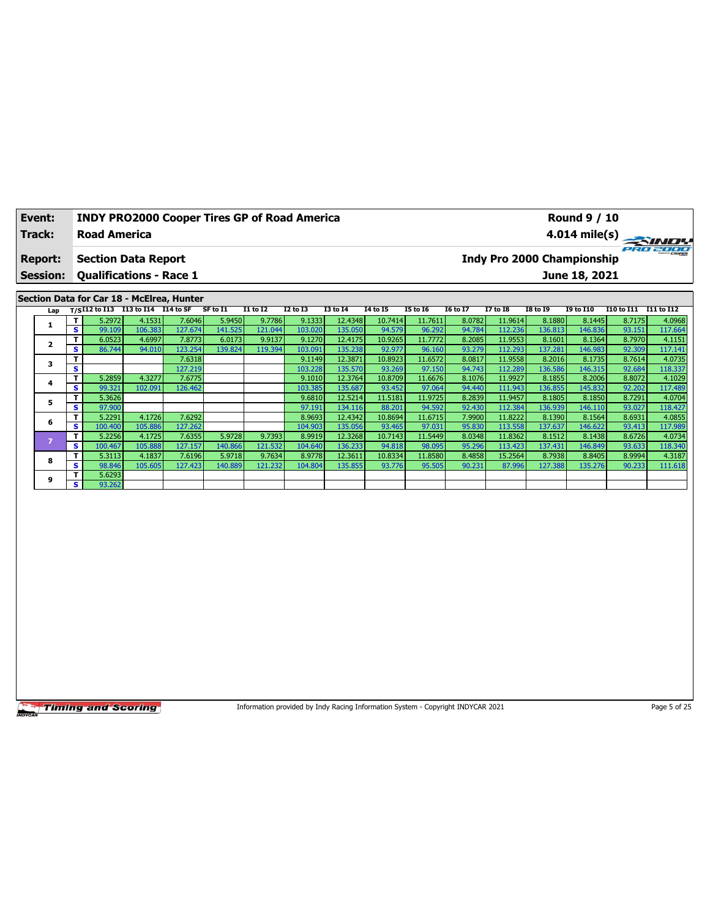| Event:         | <b>INDY PRO2000 Cooper Tires GP of Road America</b> | <b>Round 9 / 10</b>                    |
|----------------|-----------------------------------------------------|----------------------------------------|
| Track:         | <b>Road America</b>                                 | $4.014 \text{ mile(s)}$                |
| <b>Report:</b> | <b>Section Data Report</b>                          | PRO 2000<br>Indy Pro 2000 Championship |
|                | <b>Session: Qualifications - Race 1</b>             | June 18, 2021                          |
|                |                                                     |                                        |
|                | Section Data for Car 18 - McElrea, Hunter           |                                        |

| Lap |    | T/SI12 to I13 | I13 to I14 | I14 to SF | SF to I1 | <b>I1 to I2</b> | <b>I2 to I3</b> | <b>I3 to 14</b> | 14 to 15 | <b>I5 to 16</b> | <b>16 to 17</b> | <b>I7 to I8</b> | <b>I8 to 19</b> | <b>I9 to I10</b> | I10 to I11 | I11 to I12 |
|-----|----|---------------|------------|-----------|----------|-----------------|-----------------|-----------------|----------|-----------------|-----------------|-----------------|-----------------|------------------|------------|------------|
|     |    | 5.2972        | 4.1531     | 7.6046    | 5.9450   | 9.7786          | 9.1333          | 12.4348         | 10.7414  | 11.7611         | 8.0782          | 11.9614         | 8.1880          | 8.1445           | 8.7175     | 4.0968     |
|     | s  | 99.109        | 106.383    | 127.674   | 141.525  | 121.044         | 103.020         | 135.050         | 94.579   | 96.292          | 94.784          | 112.236         | 136.813         | 146.836          | 93.151     | 117.664    |
|     |    | 6.0523        | 4.6997     | 7.8773    | 6.0173   | 9.9137          | 9.1270          | 12.4175         | 10.9265  | 11.7772         | 8.2085          | 11.9553         | 8.1601          | 8.1364           | 8.7970     | 4.1151     |
|     | s  | 86.744        | 94.010     | 123.254   | 139.824  | 119.394         | 103.091         | 135.238         | 92.977   | 96.160          | 93.279          | 112.293         | 137.281         | 146.983          | 92.309     | 117.141    |
| 3   |    |               |            | 7.6318    |          |                 | 9.1149          | 12.3871         | 10.8923  | 11.6572         | 8.0817          | 11.9558         | 8.2016          | 8.1735           | 8.7614     | 4.0735     |
|     | s  |               |            | 127.219   |          |                 | 103.228         | 135.570         | 93.269   | 97.150          | 94.743          | 112.289         | 136.586         | 146.315          | 92.684     | 118.337    |
| 4   |    | 5.2859        | 4.3277     | 7.6775    |          |                 | 9.1010          | 12.3764         | 10.8709  | 11.6676         | 8.1076          | 11.9927         | 8.1855          | 8.2006           | 8.8072     | 4.1029     |
|     | s  | 99.321        | 102.091    | 126.462   |          |                 | 103.385         | 135.687         | 93.452   | 97.064          | 94.440          | 111.943         | 136.855         | 145.832          | 92.202     | 117.489    |
|     |    | 5.3626        |            |           |          |                 | 9.6810          | 12.5214         | 11.5181  | 11.9725         | 8.2839          | 11.9457         | 8.1805          | 8.1850           | 8.7291     | 4.0704     |
|     | s. | 97.900        |            |           |          |                 | 97.191          | 134.116         | 88.201   | 94.592          | 92.430          | 112.384         | 136.939         | 146.110          | 93.027     | 118.427    |
| 6   |    | 5.2291        | 4.1726     | 7.6292    |          |                 | 8.9693          | 12.4342         | 10.8694  | 11.6715         | 7.9900          | 11.8222         | 8.1390          | 8.1564           | 8.6931     | 4.0855     |
|     | s  | 100.400       | 105.886    | 127.262   |          |                 | 104.903         | 135.056         | 93.465   | 97.031          | 95.830          | 113.558         | 137.637         | 146.622          | 93.413     | 117.989    |
|     |    | 5.2256        | 4.1725     | 7.6355    | 5.9728   | 9.7393          | 8.9919          | 12.3268         | 10.7143  | 11.5449         | 8.0348          | 11.8362         | 8.1512          | 8.1438           | 8.6726     | 4.0734     |
|     | s  | 100.467       | 105.888    | 127.157   | 140.866  | 121.532         | 104.640         | 136.233         | 94.818   | 98.095          | 95.296          | 113.423         | 137.431         | 146.849          | 93.633     | 118.340    |
| 8   |    | 5.3113        | 4.1837     | 7.6196    | 5.9718   | 9.7634          | 8.9778          | 12.3611         | 10.8334  | 11.8580         | 8.4858          | 15.2564         | 8.7938          | 8.8405           | 8.9994     | 4.3187     |
|     | s  | 98.846        | 105.605    | 127.423   | 140.889  | 121.232         | 104.804         | 135.855         | 93.776   | 95.505          | 90.231          | 87.996          | 127.388         | 135.276          | 90.233     | 111.618    |
| 9   |    | 5.6293        |            |           |          |                 |                 |                 |          |                 |                 |                 |                 |                  |            |            |
|     | s. | 93.262        |            |           |          |                 |                 |                 |          |                 |                 |                 |                 |                  |            |            |

Information provided by Indy Racing Information System - Copyright INDYCAR 2021 Page 5 of 25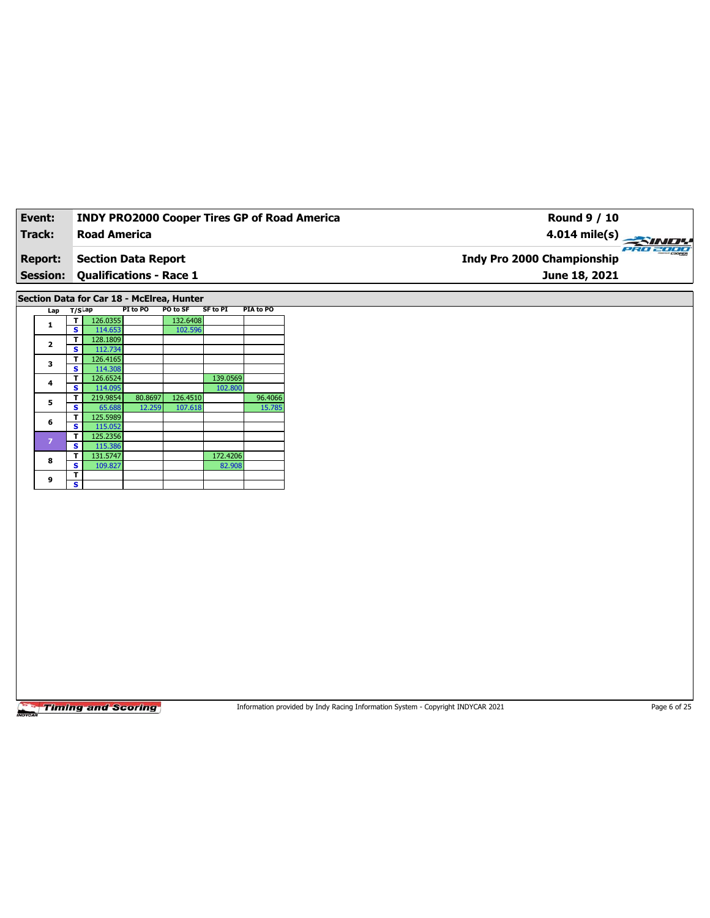| Event:          | <b>INDY PRO2000 Cooper Tires GP of Road America</b> | Round 9 / 10                                            |
|-----------------|-----------------------------------------------------|---------------------------------------------------------|
| <b>Track:</b>   | <b>Road America</b>                                 | $4.014 \text{ mile(s)} \rightarrow 4.014 \text{ miles}$ |
| <b>Report:</b>  | Section Data Report                                 | PRO 2000<br><b>Indy Pro 2000 Championship</b>           |
| <b>Session:</b> | <b>Qualifications - Race 1</b>                      | June 18, 2021                                           |
|                 |                                                     |                                                         |

**Section Data for Car 18 - McElrea, Hunter**

| Lap            | $T/S$ Lap |          | PI to PO | PO to SF | <b>SF to PI</b> | PIA to PO |
|----------------|-----------|----------|----------|----------|-----------------|-----------|
| 1              | т         | 126.0355 |          | 132.6408 |                 |           |
|                | s         | 114.653  |          | 102.596  |                 |           |
| $\overline{2}$ | т         | 128.1809 |          |          |                 |           |
|                | S         | 112.734  |          |          |                 |           |
| 3              | т         | 126.4165 |          |          |                 |           |
|                | S         | 114.308  |          |          |                 |           |
| 4              | т         | 126.6524 |          |          | 139.0569        |           |
|                | s         | 114.095  |          |          | 102.800         |           |
| 5              | т         | 219.9854 | 80.8697  | 126.4510 |                 | 96.4066   |
|                | s         | 65.688   | 12.259   | 107.618  |                 | 15.785    |
| 6              | т         | 125.5989 |          |          |                 |           |
|                | s         | 115.052  |          |          |                 |           |
| $\overline{z}$ | т         | 125.2356 |          |          |                 |           |
|                | Ś         | 115.386  |          |          |                 |           |
| 8              | т         | 131.5747 |          |          | 172.4206        |           |
|                | S         | 109.827  |          |          | 82.908          |           |
| 9              | т         |          |          |          |                 |           |
|                | s         |          |          |          |                 |           |

**Timing and Scoring** 

Information provided by Indy Racing Information System - Copyright INDYCAR 2021 Page 6 of 25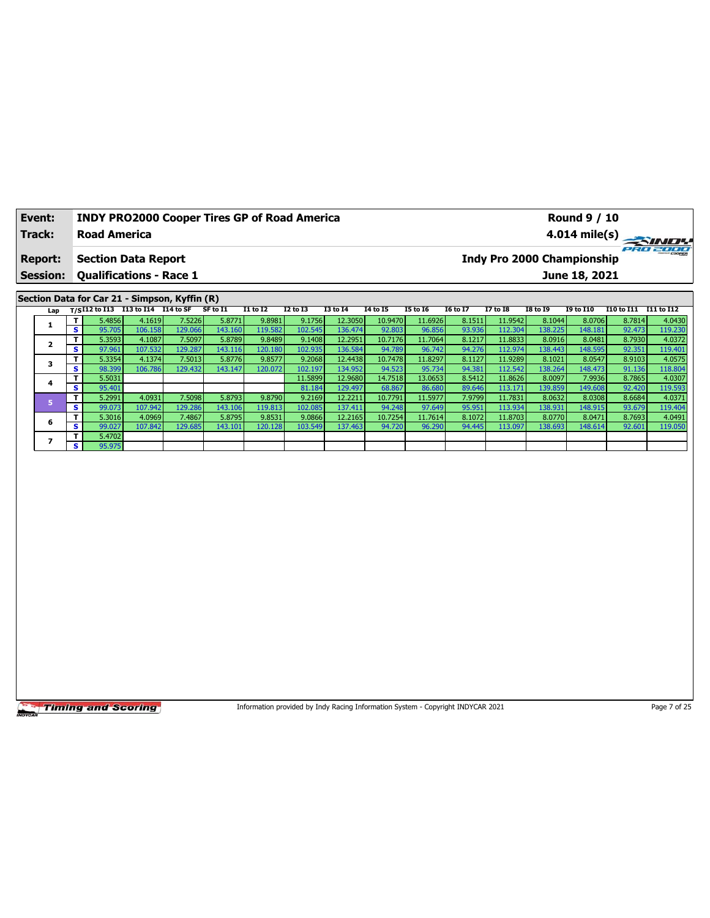| Event:                            |   |                     |                                                              | <b>INDY PRO2000 Cooper Tires GP of Road America</b> |          |                 |                 |                 |          | <b>Round 9 / 10</b>                                     |                 |                 |                 |                   |            |              |
|-----------------------------------|---|---------------------|--------------------------------------------------------------|-----------------------------------------------------|----------|-----------------|-----------------|-----------------|----------|---------------------------------------------------------|-----------------|-----------------|-----------------|-------------------|------------|--------------|
| Track:                            |   | <b>Road America</b> |                                                              |                                                     |          |                 |                 |                 |          |                                                         |                 |                 |                 | 4.014 mile(s) $-$ |            | <b>SINDY</b> |
| <b>Report:</b><br><b>Session:</b> |   |                     | <b>Section Data Report</b><br><b>Qualifications - Race 1</b> |                                                     |          |                 |                 |                 |          | PRO 2000<br>Indy Pro 2000 Championship<br>June 18, 2021 |                 |                 |                 |                   |            |              |
|                                   |   |                     |                                                              |                                                     |          |                 |                 |                 |          |                                                         |                 |                 |                 |                   |            |              |
|                                   |   |                     |                                                              | Section Data for Car 21 - Simpson, Kyffin (R)       |          |                 |                 |                 |          |                                                         |                 |                 |                 |                   |            |              |
|                                   |   |                     | Lap T/SI12 to I13 113 to I14 I14 to SF                       |                                                     | SF to I1 | <b>I1 to I2</b> | <b>I2 to I3</b> | <b>I3 to I4</b> | 14 to 15 | <b>I5 to 16</b>                                         | <b>16 to 17</b> | <b>I7 to I8</b> | <b>I8 to 19</b> | <b>I9 to I10</b>  | I10 to I11 | I11 to I12   |
|                                   |   | 5.4856              | 4.1619                                                       | 7.5226                                              | 5.8771   | 9.8981          | 9.1756          | 12.3050         | 10.9470  | 11.6926                                                 | 8.1511          | 11.9542         | 8.1044          | 8.0706            | 8.7814     | 4.0430       |
|                                   | s | 95.705              | 106.158                                                      | 129.066                                             | 143.160  | 119.582         | 102.545         | 136.474         | 92.803   | 96.856                                                  | 93.936          | 112.304         | 138.225         | 148.181           | 92.473     | 119.230      |
|                                   |   | 5.3593              | 4.1087                                                       | 7.5097                                              | 5.8789   | 9.8489          | 9.1408          | 12.2951         | 10.7176  | 11.7064                                                 | 8.1217          | 11.8833         | 8.0916          | 8.0481            | 8.7930     | 4.0372       |

|   |     | 5.3593 | 4.1087  | 7.5097  | 5.8789 l | 9.8489  | 9.1408  | 12.2951 | 10.7176 | 11.7064 | 8.1217 | 11.88331 | 8.09161 | 8.0481  | 8.79301 | 4.0372  |
|---|-----|--------|---------|---------|----------|---------|---------|---------|---------|---------|--------|----------|---------|---------|---------|---------|
|   | s.  | 97.961 | 107.532 | 129.287 | 143.116  | 120.180 | 102.935 | 136.584 | 94.789  | 96.742  | 94.276 | 112.974  | 138.443 | 148.595 | 92.351  | 119.401 |
|   | т.  | 5.3354 | 4.1374  | 7.5013  | 5.8776   | 9.8577  | 9.2068  | 12.4438 | 10.7478 | 11.8297 | 8.1127 | 11.9289  | 8.1021  | 8.0547  | 8.9103  | 4.0575  |
|   | s i | 98.399 | 106.786 | 129.432 | 143.147  | 120.072 | 102.197 | 134.952 | 94.523  | 95.734  | 94.381 | 112.542  | 138.264 | 148.473 | 91.136  | 118.804 |
|   |     | 5.5031 |         |         |          |         | 11.5899 | 12.9680 | 14.7518 | 13.0653 | 8.5412 | 11.8626  | 8.0097  | 7.9936  | 8.7865  | 4.0307  |
|   | s i | 95.401 |         |         |          |         | 81.184  | 129.497 | 68.867  | 86.680  | 89.646 | 113.171  | 139.859 | 149.608 | 92.420  | 119.593 |
|   |     | 5.2991 | 4.0931  | 7.5098  | 5.8793   | 9.8790  | 9.2169  | 12.2211 | 10.7791 | 11.5977 | 7.9799 | 11.7831  | 8.0632  | 8.0308  | 8.6684  | 4.0371  |
|   | s.  | 99.073 | 107.942 | 129.286 | 143.106  | 119.813 | 102.085 | 137.411 | 94.248  | 97.649  | 95.951 | 113.934  | 138.931 | 148.915 | 93.679  | 119.404 |
| 6 |     | 5.3016 | 4.0969  | 7.4867  | 5.8795   | 9.8531  | 9.0866  | 12.2165 | 10.7254 | 11.7614 | 8.1072 | 11.8703  | 8.0770  | 8.0471  | 8.7693  | 4.0491  |
|   | s i | 99.027 | 107.842 | 129.685 | 143.101  | 120.128 | 103.549 | 137.463 | 94.720  | 96.290  | 94.445 | 113.097  | 138.693 | 148.614 | 92.601  | 119.050 |
|   |     | 5.4702 |         |         |          |         |         |         |         |         |        |          |         |         |         |         |
|   | s i | 95.975 |         |         |          |         |         |         |         |         |        |          |         |         |         |         |

Information provided by Indy Racing Information System - Copyright INDYCAR 2021 Page 7 of 25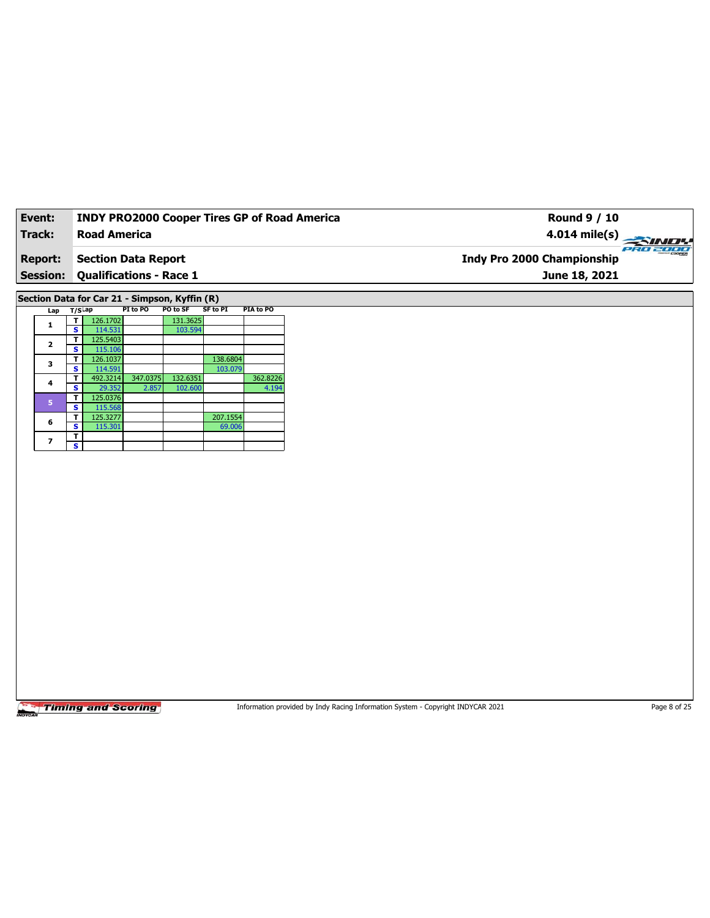| Event:          | <b>INDY PRO2000 Cooper Tires GP of Road America</b> | Round 9 / 10                                  |
|-----------------|-----------------------------------------------------|-----------------------------------------------|
| Track:          | <b>Road America</b>                                 | 4.014 mile(s) $\rightarrow$                   |
| <b>Report:</b>  | <b>Section Data Report</b>                          | PRO 2000<br><b>Indy Pro 2000 Championship</b> |
| <b>Session:</b> | <b>Qualifications - Race 1</b>                      | June 18, 2021                                 |
|                 |                                                     |                                               |
|                 |                                                     |                                               |

**Section Data for Car 21 - Simpson, Kyffin (R)**

| Lap            | T/S <sup>Lap</sup> |          | PI to PO | PO to SF | SF to PI | <b>PIA to PO</b> |
|----------------|--------------------|----------|----------|----------|----------|------------------|
| 1              |                    | 126.1702 |          | 131.3625 |          |                  |
|                | s                  | 114.531  |          | 103.594  |          |                  |
| $\overline{2}$ | т                  | 125.5403 |          |          |          |                  |
|                | s                  | 115.106  |          |          |          |                  |
| 3              | т                  | 126.1037 |          |          | 138.6804 |                  |
|                | s                  | 114.591  |          |          | 103.079  |                  |
| 4              | т                  | 492.3214 | 347.0375 | 132.6351 |          | 362.8226         |
|                | s                  | 29.352   | 2.857    | 102.600  |          | 4.194            |
| 5              | т                  | 125.0376 |          |          |          |                  |
|                | s                  | 115.568  |          |          |          |                  |
| 6              | т                  | 125.3277 |          |          | 207.1554 |                  |
|                | s                  | 115.301  |          |          | 69.006   |                  |
| 7              | т                  |          |          |          |          |                  |
|                | s                  |          |          |          |          |                  |

**Timing and Scoring** 

Information provided by Indy Racing Information System - Copyright INDYCAR 2021 Page 8 of 25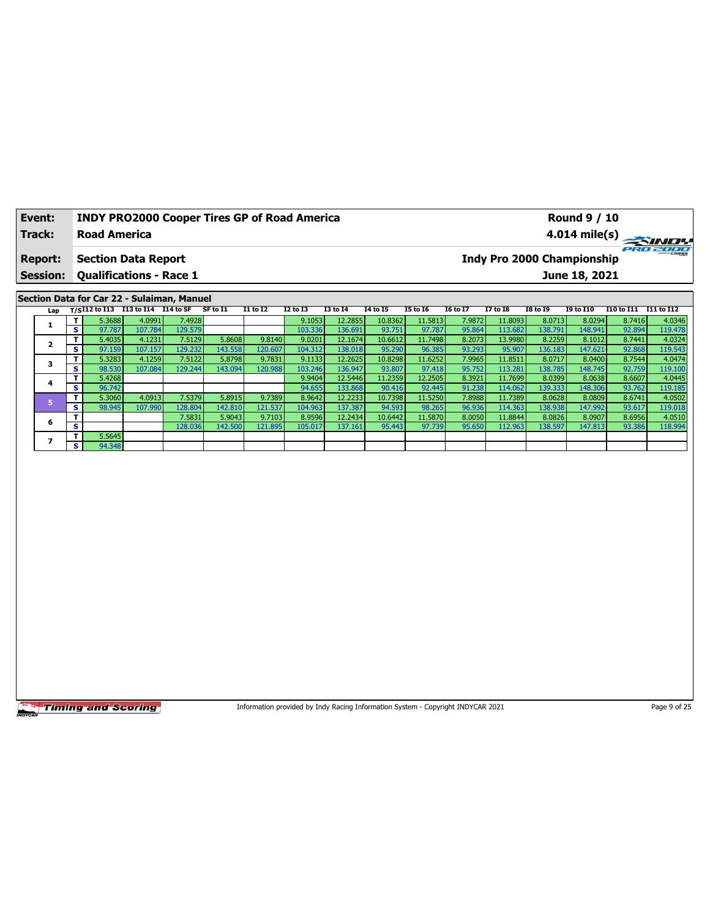| <b>Round 9 / 10</b>                                                                                                                                                                               |                                     |
|---------------------------------------------------------------------------------------------------------------------------------------------------------------------------------------------------|-------------------------------------|
|                                                                                                                                                                                                   |                                     |
| <b>Indy Pro 2000 Championship</b>                                                                                                                                                                 |                                     |
| June 18, 2021                                                                                                                                                                                     |                                     |
|                                                                                                                                                                                                   |                                     |
| <b>INDY PRO2000 Cooper Tires GP of Road America</b><br><b>Road America</b><br><b>Section Data Report</b><br><b>Session: Qualifications - Race 1</b><br>Section Data for Car 22 - Sulaiman, Manuel | $4.014 \text{ mile(s)}$<br>PRO 2000 |

| Lap |          |        | $T/SI12$ to I13 I13 to I14 I14 to SF |         | SF to I1 | <b>I1 to I2</b> | I2 to I3 | <b>I3 to I4</b> | 14 to 15 | <b>I5 to 16</b> | 16 to 17 | <b>I7 to I8</b> | I8 to 19 | <b>I9 to I10</b> | I10 to I11 I11 to I12 |         |
|-----|----------|--------|--------------------------------------|---------|----------|-----------------|----------|-----------------|----------|-----------------|----------|-----------------|----------|------------------|-----------------------|---------|
|     |          | 5.3688 | 4.0991                               | 7.4928  |          |                 | 9.1053   | 12.2855         | 10.8362  | 11.5813         | 7.9872   | 11.8093         | 8.0713   | 8.0294           | 8.7416                | 4.0346  |
|     | s.       | 97.787 | 107.784                              | 129.579 |          |                 | 103.336  | 136.691         | 93.751   | 97.787          | 95.864   | 113.682         | 138.791  | 148.941          | 92.894                | 119.478 |
|     |          | 5.4035 | 4.1231                               | 7.5129  | 5.8608   | 9.8140          | 9.0201   | 12.1674         | 10.6612  | 11.7498         | 8.2073   | 13.9980         | 8.2259   | 8.1012           | 8.7441                | 4.0324  |
|     | s.       | 97.159 | 107.157                              | 129.232 | 143.558  | 120.607         | 104.312  | 138.018         | 95.290   | 96.385          | 93.293   | 95.907          | 136.183  | 147.621          | 92.868                | 119.543 |
|     |          | 5.3283 | 4.1259                               | 7.5122  | 5.8798   | 9.7831          | 9.1133   | 12.2625         | 10.8298  | 11.6252         | 7.9965   | 11.8511         | 8.0717   | 8.0400           | 8.7544                | 4.0474  |
|     | s.       | 98.530 | 107.084                              | 129.244 | 143.094  | 120.988         | 103.246  | 136.947         | 93.807   | 97.418          | 95.752   | 113.281         | 138.785  | 148.745          | 92.759                | 119.100 |
| 4   | T.       | 5.4268 |                                      |         |          |                 | 9.9404   | 12.5446         | 11.2359  | 12.2505         | 8.3921   | 11.7699         | 8.0399   | 8.0638           | 8.6607                | 4.0445  |
|     | s.       | 96.742 |                                      |         |          |                 | 94.655   | 133.868         | 90.416   | 92.445          | 91.238   | 114.062         | 139.333  | 148.306          | 93.762                | 119.185 |
|     |          | 5.3060 | 4.0913                               | 7.5379  | 5.8915   | 9.7389          | 8.9642   | 12.2233         | 10.7398  | 11.5250         | 7.8988   | 11.7389         | 8.0628   | 8.0809           | 8.6741                | 4.0502  |
|     | <b>S</b> | 98.945 | 107.990                              | 128.804 | 142.810  | 121.537         | 104.963  | 137.387         | 94.593   | 98.265          | 96.936   | 114.363         | 138.938  | 147.992          | 93.617                | 119.018 |
|     | T.       |        |                                      | 7.5831  | 5.9043   | 9.7103          | 8.9596   | 12.2434         | 10.6442  | 11.5870         | 8.0050   | 11.8844         | 8.0826   | 8.0907           | 8.6956                | 4.0510  |
| 6   | s        |        |                                      | 128.036 | 142.500  | 121.895         | 105.017  | 137.161         | 95.443   | 97.739          | 95.650   | 112.963         | 138.597  | 147.813          | 93.386                | 118.994 |
|     |          | 5.5645 |                                      |         |          |                 |          |                 |          |                 |          |                 |          |                  |                       |         |
|     | <b>S</b> | 94.348 |                                      |         |          |                 |          |                 |          |                 |          |                 |          |                  |                       |         |

Information provided by Indy Racing Information System - Copyright INDYCAR 2021 Page 9 of 25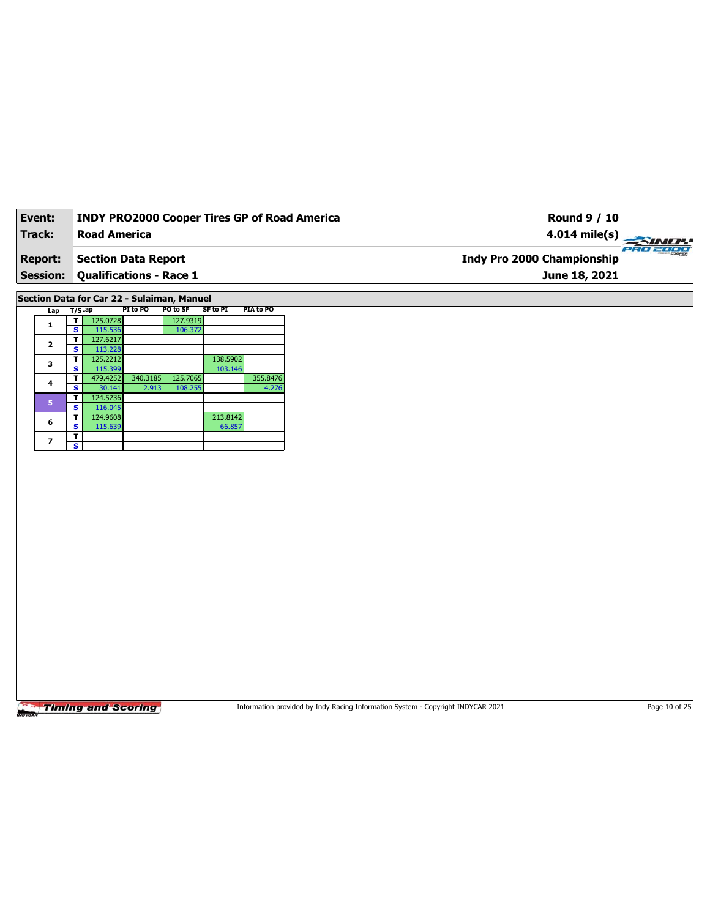| Event:          | <b>INDY PRO2000 Cooper Tires GP of Road America</b> | Round 9 / 10                                  |
|-----------------|-----------------------------------------------------|-----------------------------------------------|
| Track:          | <b>Road America</b>                                 | 4.014 mile(s) $\rightarrow$                   |
| <b>Report:</b>  | <b>Section Data Report</b>                          | PRO 2000<br><b>Indy Pro 2000 Championship</b> |
| <b>Session:</b> | <b>Qualifications - Race 1</b>                      | June 18, 2021                                 |
|                 |                                                     |                                               |

**Section Data for Car 22 - Sulaiman, Manuel**

| Lap                     | $T/S$ ap |          | PI to PO | PO to SF | SF to PI | PIA to PO |
|-------------------------|----------|----------|----------|----------|----------|-----------|
| 1                       |          | 125.0728 |          | 127.9319 |          |           |
|                         | s        | 115.536  |          | 106.372  |          |           |
| $\overline{\mathbf{2}}$ | т        | 127.6217 |          |          |          |           |
|                         | s        | 113.228  |          |          |          |           |
| 3                       | т        | 125.2212 |          |          | 138.5902 |           |
|                         | s        | 115.399  |          |          | 103.146  |           |
| 4                       | т        | 479.4252 | 340.3185 | 125.7065 |          | 355.8476  |
|                         | s        | 30.141   | 2.913    | 108.255  |          | 4.276     |
| 5                       | т        | 124.5236 |          |          |          |           |
|                         | s        | 116.045  |          |          |          |           |
| 6                       | т        | 124.9608 |          |          | 213.8142 |           |
|                         | s        | 115.639  |          |          | 66.857   |           |
|                         | т        |          |          |          |          |           |
| 7                       | s        |          |          |          |          |           |

**Timing and Scoring** 

Information provided by Indy Racing Information System - Copyright INDYCAR 2021 Page 10 of 25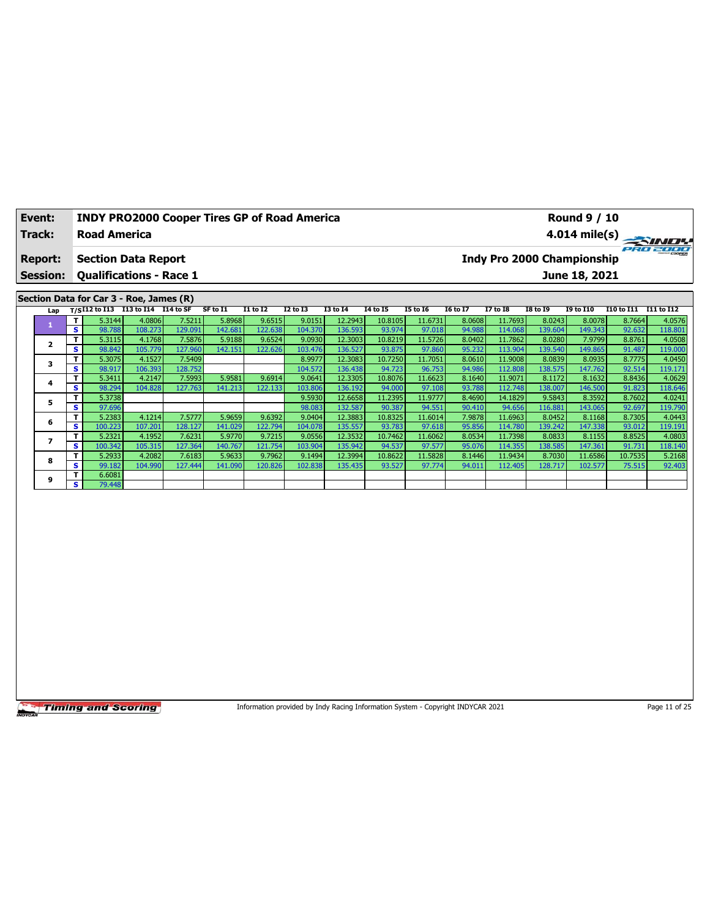| Event:          | <b>INDY PRO2000 Cooper Tires GP of Road America</b>    |          |                            |                         |          | <b>Round 9 / 10</b> |          |                 |          |                 |               |                       |  |
|-----------------|--------------------------------------------------------|----------|----------------------------|-------------------------|----------|---------------------|----------|-----------------|----------|-----------------|---------------|-----------------------|--|
| Track:          | <b>Road America</b>                                    |          |                            | $4.014 \text{ mile(s)}$ |          |                     |          |                 |          |                 |               |                       |  |
| <b>Report:</b>  | <b>Section Data Report</b>                             |          | Indy Pro 2000 Championship |                         |          |                     |          |                 |          | ero zoor        |               |                       |  |
| <b>Session:</b> | <b>Qualifications - Race 1</b>                         |          |                            |                         |          |                     |          |                 |          |                 | June 18, 2021 |                       |  |
|                 |                                                        |          |                            |                         |          |                     |          |                 |          |                 |               |                       |  |
|                 | Section Data for Car 3 - Roe, James (R)                |          |                            |                         |          |                     |          |                 |          |                 |               |                       |  |
|                 | $1.45$ $T/6$ $112$ to $113$ $113$ to $114$ $114$ to SF | SF to T1 | T1 to T2                   | 12 to 13                | T3 to T4 | <b>14 to 15</b>     | T5 to T6 | <b>I6 to 17</b> | 17 to 18 | <b>TR to TQ</b> | TQ to T10     | T10 to T11 T11 to T12 |  |

|   | Lap | $T/S$ I12 to I13 I13 to I14 I14 to SF |         |         | SF to I1 | I1 to I2 | I2 to I3 | I3 to I4 | 14 to 15 | <b>I5 to 16</b> | 16 to 17 | <b>I7 to I8</b> | I8 to 19 | <b>I9 to I10</b> | I10 to I11 | <b>I11 to I12</b> |
|---|-----|---------------------------------------|---------|---------|----------|----------|----------|----------|----------|-----------------|----------|-----------------|----------|------------------|------------|-------------------|
|   |     | T.<br>5.3144                          | 4.0806  | 7.5211  | 5.8968   | 9.6515   | 9.0151   | 12.2943  | 10.8105  | 11.6731         | 8.0608   | 11.7693         | 8.0243   | 8.0078           | 8.7664     | 4.0576            |
|   |     | s.<br>98.788                          | 108.273 | 129.091 | 142.681  | 122.638  | 104.370  | 136.593  | 93.974   | 97.018          | 94.988   | 114.068         | 139.604  | 149.343          | 92.632     | 118.801           |
|   |     | T.<br>5.3115                          | 4.1768  | 7.5876  | 5.9188   | 9.6524   | 9.0930   | 12.3003  | 10.8219  | 11.5726         | 8.0402   | 11.7862         | 8.0280   | 7.9799           | 8.8761     | 4.0508            |
|   |     | s<br>98.842                           | 105.779 | 127.960 | 142.151  | 122.626  | 103.476  | 136.527  | 93.875   | 97.860          | 95.232   | 113.904         | 139.540  | 149.865          | 91.487     | 119.000           |
|   |     | Τ<br>5.3075                           | 4.1527  | 7.5409  |          |          | 8.9977   | 12.3083  | 10.7250  | 11.7051         | 8.0610   | 11.9008         | 8.0839   | 8.0935           | 8.7775     | 4.0450            |
|   |     | s<br>98.917                           | 106.393 | 128.752 |          |          | 104.572  | 136.438  | 94.723   | 96.753          | 94.986   | 112.808         | 138.575  | 147.762          | 92.514     | 119.171           |
| 4 |     | T.<br>5.3411                          | 4.2147  | 7.5993  | 5.9581   | 9.6914   | 9.0641   | 12.3305  | 10.8076  | 11.6623         | 8.1640   | 11.9071         | 8.1172   | 8.1632           | 8.8436     | 4.0629            |
|   |     | s<br>98.294                           | 104.828 | 127.763 | 141.213  | 122.133  | 103.806  | 136.192  | 94.000   | 97.108          | 93.788   | 112.748         | 138.007  | 146.500          | 91.823     | 118.646           |
|   |     | T<br>5.3738                           |         |         |          |          | 9.5930   | 12.6658  | 11.2395  | 11.9777         | 8.4690   | 14.1829         | 9.5843   | 8.3592           | 8.7602     | 4.0241            |
|   |     | s.<br>97.696                          |         |         |          |          | 98.083   | 132.587  | 90.387   | 94.551          | 90.410   | 94.656          | 116.881  | 143.065          | 92.697     | 119.790           |
| 6 |     | T.<br>5.2383                          | 4.1214  | 7.5777  | 5.9659   | 9.6392   | 9.0404   | 12.3883  | 10.8325  | 11.6014         | 7.9878   | 11.6963         | 8.0452   | 8.1168           | 8.7305     | 4.0443            |
|   |     | s.<br>100.223                         | 107.201 | 128.127 | 141.029  | 122.794  | 104.078  | 135.557  | 93.783   | 97.618          | 95.856   | 114.780         | 139.242  | 147.338          | 93.012     | 119.191           |
|   |     | т<br>5.2321                           | 4.1952  | 7.6231  | 5.9770   | 9.7215   | 9.0556   | 12.3532  | 10.7462  | 11.6062         | 8.0534   | 11.73981        | 8.0833   | 8.1155           | 8.8525     | 4.0803            |
|   |     | s.<br>100.342                         | 105.315 | 127.364 | 140.767  | 121.754  | 103.904  | 135.942  | 94.537   | 97.577          | 95.076   | 114.355         | 138.585  | 147.361          | 91.731     | 118.140           |
| 8 |     | 5.2933<br>T.                          | 4.2082  | 7.6183  | 5.9633   | 9.7962   | 9.1494   | 12.3994  | 10.8622  | 11.5828         | 8.1446   | 11.9434         | 8.7030   | 11.6586          | 10.7535    | 5.2168            |
|   |     | s<br>99.182                           | 104.990 | 127.444 | 141.090  | 120.826  | 102.838  | 135.435  | 93.527   | 97.774          | 94.011   | 112.405         | 128.717  | 102.577          | 75.515     | 92.403            |
| 9 |     | т<br>6.6081                           |         |         |          |          |          |          |          |                 |          |                 |          |                  |            |                   |
|   |     | s l<br>79.448                         |         |         |          |          |          |          |          |                 |          |                 |          |                  |            |                   |

Information provided by Indy Racing Information System - Copyright INDYCAR 2021 Page 11 of 25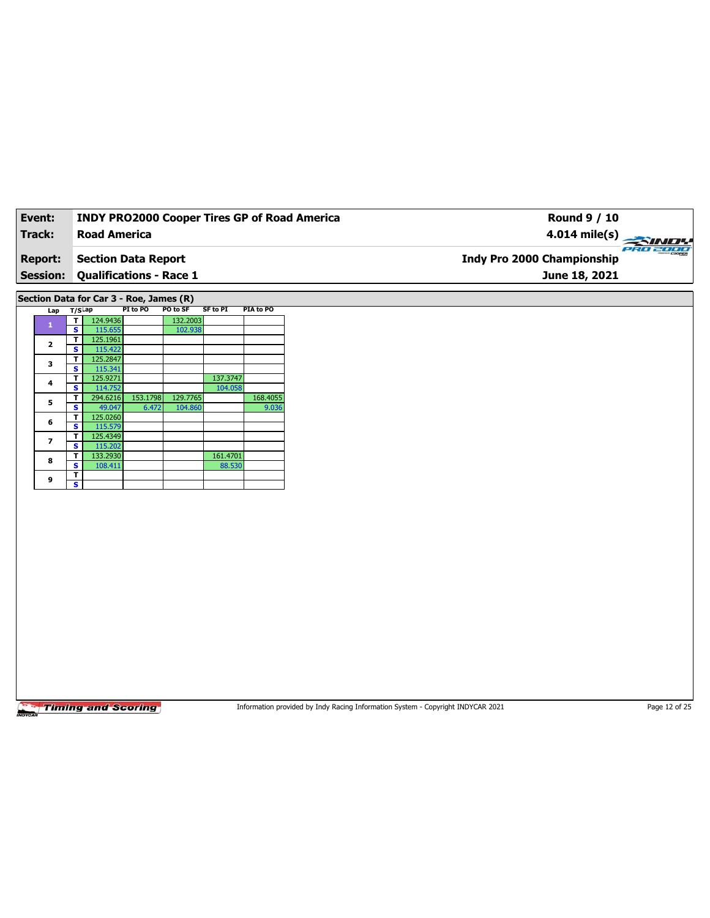| Event:          | <b>INDY PRO2000 Cooper Tires GP of Road America</b> | Round 9 / 10                                  |
|-----------------|-----------------------------------------------------|-----------------------------------------------|
| Track:          | <b>Road America</b>                                 | $4.014 \text{ mile(s)}$                       |
| <b>Report:</b>  | Section Data Report                                 | PRO 2000<br><b>Indy Pro 2000 Championship</b> |
| <b>Session:</b> | Qualifications - Race 1                             | June 18, 2021                                 |
|                 |                                                     |                                               |

**Section Data for Car 3 - Roe, James (R)**

| Lap            | $T/S$ Lap |          | PI to PO | PO to SF | <b>SF to PI</b> | PIA to PO |
|----------------|-----------|----------|----------|----------|-----------------|-----------|
| 1              | т         | 124.9436 |          | 132.2003 |                 |           |
|                | s         | 115.655  |          | 102.938  |                 |           |
| $\overline{2}$ | T         | 125.1961 |          |          |                 |           |
|                | s         | 115.422  |          |          |                 |           |
| 3              | т         | 125.2847 |          |          |                 |           |
|                | S         | 115.341  |          |          |                 |           |
| 4              | т         | 125.9271 |          |          | 137.3747        |           |
|                | S         | 114.752  |          |          | 104.058         |           |
| 5              | т         | 294.6216 | 153.1798 | 129.7765 |                 | 168.4055  |
|                | s         | 49.047   | 6.472    | 104.860  |                 | 9.036     |
| 6              | Т         | 125.0260 |          |          |                 |           |
|                | s         | 115.579  |          |          |                 |           |
| 7              | т         | 125.4349 |          |          |                 |           |
|                | s         | 115.202  |          |          |                 |           |
| 8              | т         | 133.2930 |          |          | 161.4701        |           |
|                | s         | 108.411  |          |          | 88.530          |           |
|                | т         |          |          |          |                 |           |
| 9              | s         |          |          |          |                 |           |

**Timing and Scoring** 

Information provided by Indy Racing Information System - Copyright INDYCAR 2021 Page 12 of 25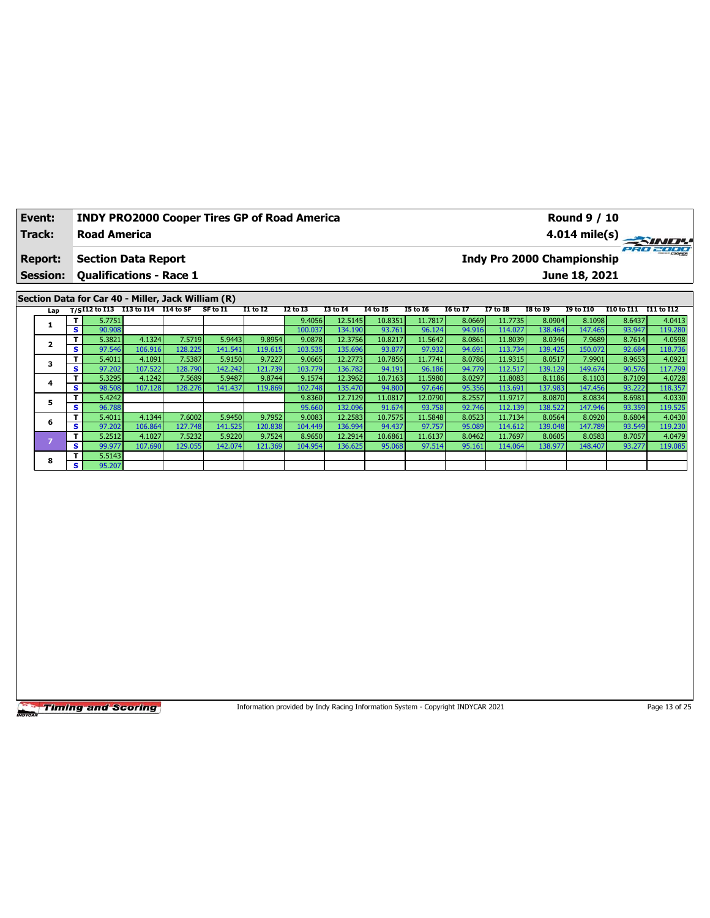| Event:          | <b>INDY PRO2000 Cooper Tires GP of Road America</b> | Round 9 / 10                                  |
|-----------------|-----------------------------------------------------|-----------------------------------------------|
| Track:          | <b>Road America</b>                                 | $4.014 \text{ mile(s)}$                       |
| <b>Report:</b>  | <b>Section Data Report</b>                          | PRO 2000<br><b>Indy Pro 2000 Championship</b> |
| <b>Session:</b> | <b>Qualifications - Race 1</b>                      | June 18, 2021                                 |
|                 | Section Data for Car 40 - Miller, Jack William (R)  |                                               |

| <u>sservn sata ivi sai iv</u><br>Lap T/SI12 to I13 I13 to I14 I14 to SF |      |        |         |         |          |                 |          |          |          |                 |          |                 |          |                  |                       |         |
|-------------------------------------------------------------------------|------|--------|---------|---------|----------|-----------------|----------|----------|----------|-----------------|----------|-----------------|----------|------------------|-----------------------|---------|
|                                                                         |      |        |         |         | SF to I1 | <b>I1 to I2</b> | I2 to I3 | 13 to 14 | 14 to 15 | <b>I5 to 16</b> | 16 to 17 | <b>I7 to I8</b> | I8 to 19 | <b>I9 to I10</b> | I10 to I11 I11 to I12 |         |
|                                                                         | T I  | 5.7751 |         |         |          |                 | 9.4056   | 12.5145  | 10.8351  | 11.7817         | 8.0669   | 11.7735         | 8.0904   | 8.1098           | 8.6437                | 4.0413  |
|                                                                         | s.   | 90.908 |         |         |          |                 | 100.037  | 134.190  | 93.761   | 96.124          | 94.916   | 114.027         | 138.464  | 147.465          | 93.947                | 119.280 |
|                                                                         | Τ.   | 5.3821 | 4.1324  | 7.5719  | 5.9443   | 9.8954          | 9.0878   | 12.3756  | 10.8217  | 11.5642         | 8.0861   | 11.8039         | 8.0346   | 7.9689           | 8.7614                | 4.0598  |
|                                                                         | S    | 97.546 | 106.916 | 128.225 | 141.541  | 119.615         | 103.535  | 135.696  | 93.877   | 97.932          | 94.691   | 113.734         | 139.425  | 150.072          | 92.684                | 118.736 |
|                                                                         | Τ.   | 5.4011 | 4.1091  | 7.5387  | 5.9150   | 9.7227          | 9.0665   | 12.2773  | 10.7856  | 11.7741         | 8.0786   | 11.9315         | 8.0517   | 7.9901           | 8.9653                | 4.0921  |
|                                                                         | s.   | 97.202 | 107.522 | 128.790 | 142.242  | 121.739         | 103.779  | 136.782  | 94.191   | 96.186          | 94.779   | 112.517         | 139.129  | 149.674          | 90.576                | 117.799 |
| 4                                                                       | T    | 5.3295 | 4.1242  | 7.5689  | 5.9487   | 9.8744          | 9.1574   | 12.3962  | 10.7163  | 11.5980         | 8.0297   | 11.8083         | 8.1186   | 8.1103           | 8.7109                | 4.0728  |
|                                                                         | s l  | 98.508 | 107.128 | 128.276 | 141.437  | 119.869         | 102.748  | 135.470  | 94.800   | 97.646          | 95.356   | 113.691         | 137.983  | 147.456          | 93.222                | 118.357 |
| 5                                                                       | T.   | 5.4242 |         |         |          |                 | 9.8360   | 12.7129  | 11.0817  | 12.0790         | 8.2557   | 11.9717         | 8.0870   | 8.0834           | 8.6981                | 4.0330  |
|                                                                         | s.   | 96.788 |         |         |          |                 | 95.660   | 132.096  | 91.674   | 93.758          | 92.746   | 112.139         | 138.522  | 147.946          | 93.359                | 119.525 |
| 6                                                                       | Τ.   | 5.4011 | 4.1344  | 7.6002  | 5.9450   | 9.7952          | 9.0083   | 12.2583  | 10.7575  | 11.5848         | 8.0523   | 11.7134         | 8.0564   | 8.0920           | 8.6804                | 4.0430  |
|                                                                         | S    | 97.202 | 106.864 | 127.748 | 141.525  | 120.838         | 104.449  | 136.994  | 94.437   | 97.757          | 95.089   | 114.612         | 139.048  | 147.789          | 93.549                | 119.230 |
|                                                                         | T    | 5.2512 | 4.1027  | 7.5232  | 5.9220   | 9.7524          | 8.9650   | 12.2914  | 10.6861  | 11.6137         | 8.0462   | 11.7697         | 8.0605   | 8.0583           | 8.7057                | 4.0479  |
|                                                                         | IS I | 99.977 | 107.690 | 129.055 | 142.074  | 121.369         | 104.954  | 136.625  | 95.068   | 97.514          | 95.161   | 114.064         | 138.977  | 148.407          | 93.277                | 119.085 |
| 8                                                                       | T.   | 5.5143 |         |         |          |                 |          |          |          |                 |          |                 |          |                  |                       |         |
|                                                                         | s l  | 95.207 |         |         |          |                 |          |          |          |                 |          |                 |          |                  |                       |         |

Information provided by Indy Racing Information System - Copyright INDYCAR 2021 Page 13 of 25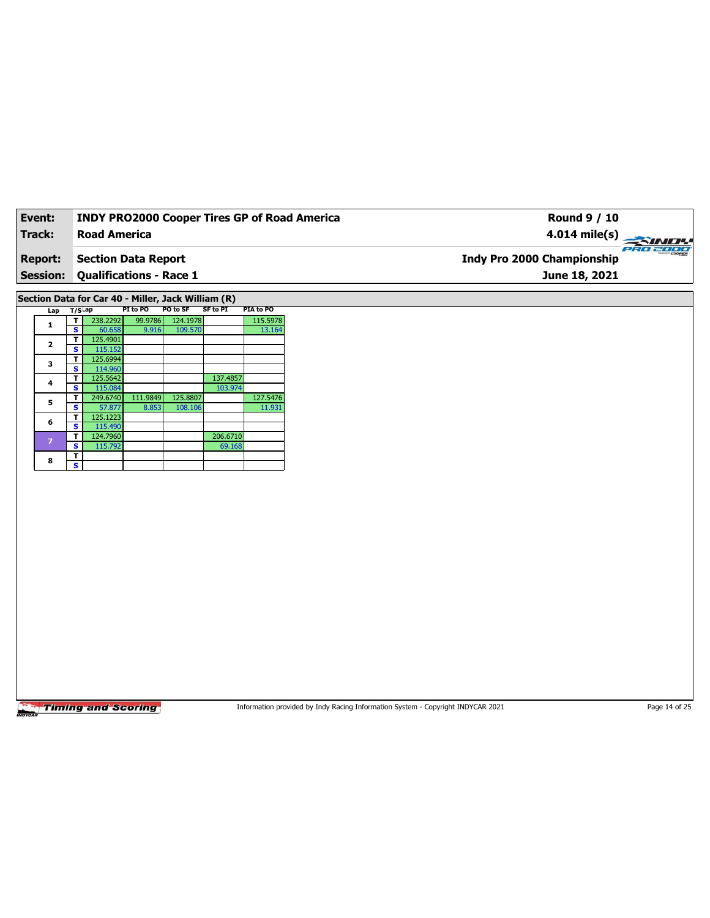| Event:          |   |                     |                                                    |          |                 |           | <b>INDY PRO2000 Cooper Tires GP of Road America</b><br><b>Round 9 / 10</b> |       |
|-----------------|---|---------------------|----------------------------------------------------|----------|-----------------|-----------|----------------------------------------------------------------------------|-------|
| Track:          |   | <b>Road America</b> |                                                    |          |                 |           | 4.014 mile(s) $\overline{\phantom{a}}$                                     |       |
| <b>Report:</b>  |   |                     | <b>Section Data Report</b>                         |          |                 |           | Indy Pro 2000 Championship                                                 | ern 2 |
| <b>Session:</b> |   |                     | <b>Qualifications - Race 1</b>                     |          |                 |           | June 18, 2021                                                              |       |
|                 |   |                     | Section Data for Car 40 - Miller, Jack William (R) |          |                 |           |                                                                            |       |
| $Lap$ T/S $Lap$ |   |                     | PI to PO                                           | PO to SF | <b>SF to PI</b> | PIA to PO |                                                                            |       |
| 1               |   | 238.2292            | 99.9786                                            | 124.1978 |                 | 115.5978  |                                                                            |       |
|                 | s | 60.658              | 9.916                                              | 109.570  |                 | 13.164    |                                                                            |       |
| $\mathbf{2}$    | т | 125.4901            |                                                    |          |                 |           |                                                                            |       |
|                 | s | 115.152             |                                                    |          |                 |           |                                                                            |       |
| 3               | s | 125.6994<br>114.960 |                                                    |          |                 |           |                                                                            |       |
|                 | т | 125.5642            |                                                    |          | 137.4857        |           |                                                                            |       |
| 4               | s | 115.084             |                                                    |          | 103.974         |           |                                                                            |       |
|                 | т | 249.6740            | 111.9849                                           | 125.8807 |                 | 127.5476  |                                                                            |       |
| 5               | s | 57.877              | 8.853                                              | 108.106  |                 | 11.931    |                                                                            |       |
| 6               | т | 125.1223            |                                                    |          |                 |           |                                                                            |       |
|                 | s | 115.490             |                                                    |          |                 |           |                                                                            |       |
| $\overline{ }$  | т | 124.7960            |                                                    |          | 206.6710        |           |                                                                            |       |
|                 | s | 115.792             |                                                    |          | 69.168          |           |                                                                            |       |
| 8               | s |                     |                                                    |          |                 |           |                                                                            |       |
|                 |   |                     |                                                    |          |                 |           |                                                                            |       |

Information provided by Indy Racing Information System - Copyright INDYCAR 2021 Page 14 of 25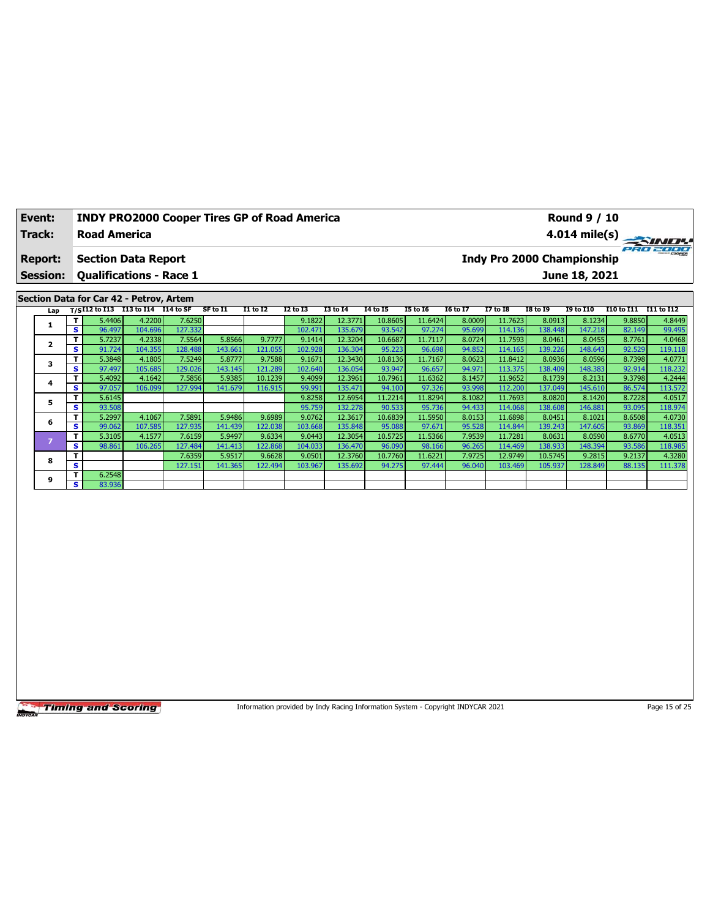| Event:          | <b>INDY PRO2000 Cooper Tires GP of Road America</b> | Round 9 / 10                                  |
|-----------------|-----------------------------------------------------|-----------------------------------------------|
| Track:          | <b>Road America</b>                                 |                                               |
| <b>Report:</b>  | <b>Section Data Report</b>                          | PRO 2000<br><b>Indy Pro 2000 Championship</b> |
| <b>Session:</b> | <b>Qualifications - Race 1</b>                      | June 18, 2021                                 |
|                 | Section Data for Car 42 - Petrov, Artem             |                                               |

| Lap |   | $T/S$ <sup>I12</sup> to I13 | I13 to I14 | I14 to SF | SF to I1 | <b>I1 to I2</b> | <b>I2 to I3</b> | <b>I3 to I4</b> | 14 to 15 | <b>I5 to 16</b> | <b>16 to 17</b> | <b>I7 to I8</b> | <b>I8 to 19</b> | <b>I9 to I10</b> | I10 to I11 | I11 to I12 |
|-----|---|-----------------------------|------------|-----------|----------|-----------------|-----------------|-----------------|----------|-----------------|-----------------|-----------------|-----------------|------------------|------------|------------|
|     |   | 5.4406                      | 4.2200     | 7.6250    |          |                 | 9.1822          | 12.3771         | 10.8605  | 11.6424         | 8.0009          | 11.7623         | 8.0913          | 8.1234           | 9.8850     | 4.8449     |
|     | s | 96.497                      | 104.696    | 127.332   |          |                 | 102.471         | 135.679         | 93.542   | 97.274          | 95.699          | 114.136         | 138.448         | 147.218          | 82.149     | 99.495     |
|     | т | 5.7237                      | 4.2338     | 7.5564    | 5.8566   | 9.7777          | 9.1414          | 12.3204         | 10.6687  | 11.7117         | 8.0724          | 11.7593         | 8.0461          | 8.0455           | 8.7761     | 4.0468     |
|     | s | 91.724                      | 104.355    | 128.488   | 143.661  | 121.055         | 102.928         | 136.304         | 95.223   | 96.698          | 94.852          | 114.165         | 139.226         | 148.643          | 92.529     | 119.118    |
|     | т | 5.3848                      | 4.1805     | 7.5249    | 5.8777   | 9.7588          | 9.1671          | 12.3430         | 10.8136  | 11.7167         | 8.0623          | 11.8412         | 8.0936          | 8.0596           | 8.7398     | 4.0771     |
|     | s | 97.497                      | 105.685    | 129.026   | 143.145  | 121.289         | 102.640         | 136.054         | 93.947   | 96.657          | 94.971          | 113.375         | 138.409         | 148.383          | 92.914     | 118.232    |
| 4   | т | 5.4092                      | 4.1642     | 7.5856    | 5.9385   | 10.1239         | 9.4099          | 12.3961         | 10.7961  | 11.6362         | 8.1457          | 11.9652         | 8.1739          | 8.2131           | 9.3798     | 4.2444     |
|     | s | 97.057                      | 106.099    | 127.994   | 141.679  | 116.915         | 99.991          | 135.471         | 94.100   | 97.326          | 93.998          | 112.200         | 137.049         | 145.610          | 86.574     | 113.572    |
|     | т | 5.6145                      |            |           |          |                 | 9.8258          | 12.6954         | 11.2214  | 11.8294         | 8.1082          | 11.7693         | 8.0820          | 8.1420           | 8.7228     | 4.0517     |
|     | s | 93.508                      |            |           |          |                 | 95.759          | 132.278         | 90.533   | 95.736          | 94.433          | 114.068         | 138.608         | 146.881          | 93.095     | 118.974    |
| 6   | т | 5.2997                      | 4.1067     | 7.5891    | 5.9486   | 9.6989          | 9.0762          | 12.3617         | 10.6839  | 11.5950         | 8.0153          | 11.6898         | 8.0451          | 8.1021           | 8.6508     | 4.0730     |
|     | s | 99.062                      | 107.585    | 127.935   | 141.439  | 122.038         | 103.668         | 135.848         | 95.088   | 97.671          | 95.528          | 114.844         | 139.243         | 147.605          | 93.869     | 118.351    |
|     | т | 5.3105                      | 4.1577     | 7.6159    | 5.9497   | 9.6334          | 9.0443          | 12.3054         | 10.5725  | 11.5366         | 7.9539          | 11.7281         | 8.0631          | 8.0590           | 8.6770     | 4.0513     |
|     | s | 98.861                      | 106.265    | 127.484   | 141.413  | 122.868         | 104.033         | 136.470         | 96.090   | 98.166          | 96.265          | 114.469         | 138.933         | 148.394          | 93.586     | 118.985    |
| 8   | т |                             |            | 7.6359    | 5.9517   | 9.6628          | 9.0501          | 12.3760         | 10.7760  | 11.6221         | 7.9725          | 12.9749         | 10.5745         | 9.2815           | 9.2137     | 4.3280     |
|     | s |                             |            | 127.151   | 141.365  | 122.494         | 103.967         | 135.692         | 94.275   | 97.444          | 96.040          | 103.469         | 105.937         | 128.849          | 88.135     | 111.378    |
| 9   | п | 6.2548                      |            |           |          |                 |                 |                 |          |                 |                 |                 |                 |                  |            |            |
|     | s | 83.936                      |            |           |          |                 |                 |                 |          |                 |                 |                 |                 |                  |            |            |

Information provided by Indy Racing Information System - Copyright INDYCAR 2021 Page 15 of 25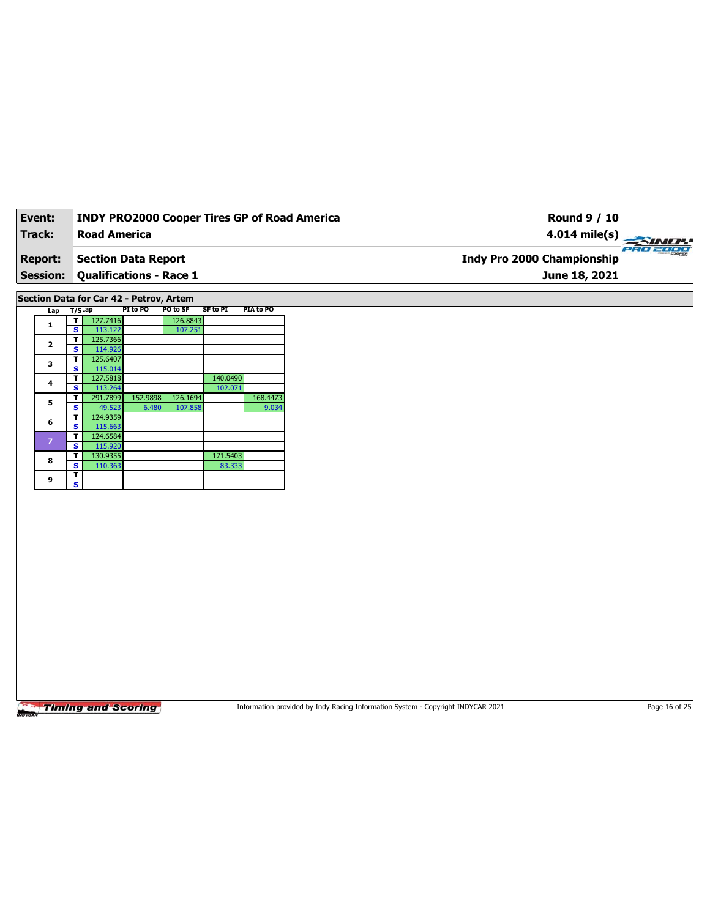| Event:          | <b>INDY PRO2000 Cooper Tires GP of Road America</b> | Round 9 / 10                                  |
|-----------------|-----------------------------------------------------|-----------------------------------------------|
| Track:          | <b>Road America</b>                                 | $4.014 \text{ mile(s)}$                       |
| <b>Report:</b>  | Section Data Report                                 | PRO 2000<br><b>Indy Pro 2000 Championship</b> |
| <b>Session:</b> | Qualifications - Race 1                             | June 18, 2021                                 |
|                 |                                                     |                                               |

**Section Data for Car 42 - Petrov, Artem**

| Lap                     | $T/S$ Lap |          | PI to PO | PO to SF | <b>SF to PI</b> | PIA to PO |
|-------------------------|-----------|----------|----------|----------|-----------------|-----------|
| 1                       | т         | 127.7416 |          | 126.8843 |                 |           |
|                         | S         | 113.122  |          | 107.251  |                 |           |
| $\overline{\mathbf{2}}$ | т         | 125.7366 |          |          |                 |           |
|                         | S         | 114.926  |          |          |                 |           |
| 3                       | т         | 125.6407 |          |          |                 |           |
|                         | S         | 115.014  |          |          |                 |           |
| 4                       | т         | 127.5818 |          |          | 140.0490        |           |
|                         | s         | 113.264  |          |          | 102.071         |           |
| 5                       | т         | 291.7899 | 152.9898 | 126.1694 |                 | 168.4473  |
|                         | S         | 49.523   | 6.480    | 107.858  |                 | 9.034     |
| 6                       | т         | 124.9359 |          |          |                 |           |
|                         | s         | 115.663  |          |          |                 |           |
| $\overline{z}$          | т         | 124.6584 |          |          |                 |           |
|                         | s         | 115.920  |          |          |                 |           |
| 8                       | т         | 130.9355 |          |          | 171.5403        |           |
|                         | s         | 110.363  |          |          | 83.333          |           |
| 9                       | т         |          |          |          |                 |           |
|                         | s         |          |          |          |                 |           |

**Timing and Scoring** 

Information provided by Indy Racing Information System - Copyright INDYCAR 2021 Page 16 of 25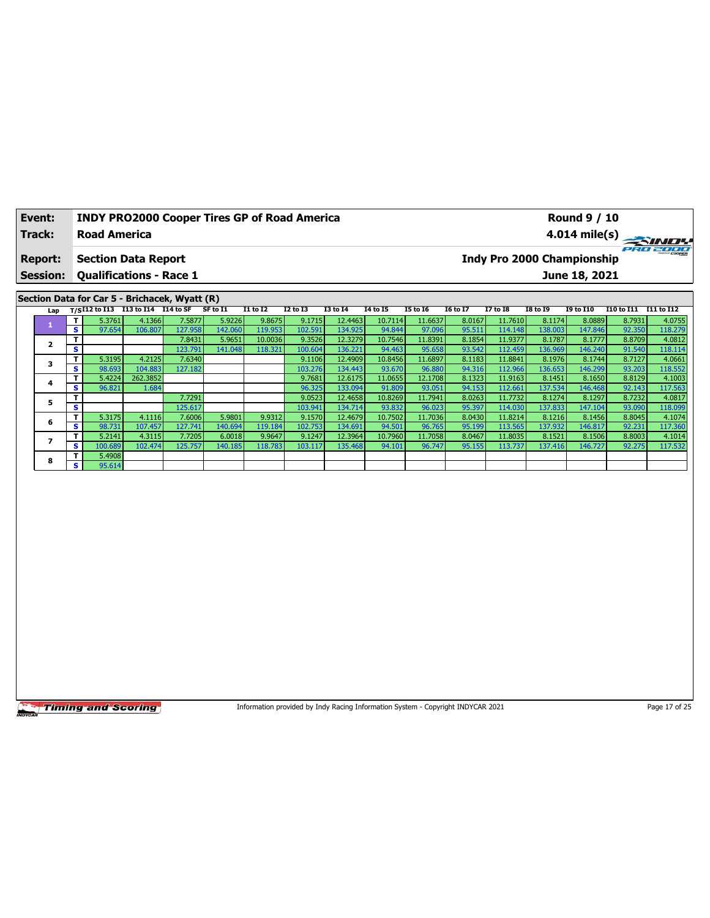| Event:          | <b>INDY PRO2000 Cooper Tires GP of Road America</b> |  |  |          |          |                 |                 |          | <b>Round 9 / 10</b>        |          |          |                 |                  |                   |            |  |
|-----------------|-----------------------------------------------------|--|--|----------|----------|-----------------|-----------------|----------|----------------------------|----------|----------|-----------------|------------------|-------------------|------------|--|
| Track:          | <b>Road America</b>                                 |  |  |          |          |                 |                 |          |                            |          |          |                 |                  | 4.014 mile(s) $-$ | SINDY      |  |
| <b>Report:</b>  | <b>Section Data Report</b>                          |  |  |          |          |                 |                 |          | Indy Pro 2000 Championship |          |          |                 |                  |                   | PRO 2000   |  |
| <b>Session:</b> | <b>Qualifications - Race 1</b>                      |  |  |          |          |                 |                 |          |                            |          |          |                 | June 18, 2021    |                   |            |  |
|                 |                                                     |  |  |          |          |                 |                 |          |                            |          |          |                 |                  |                   |            |  |
|                 | Section Data for Car 5 - Brichacek, Wyatt (R)       |  |  |          |          |                 |                 |          |                            |          |          |                 |                  |                   |            |  |
|                 | Lap T/SI12 to I13 I13 to I14 I14 to SF              |  |  | SF to I1 | I1 to I2 | <b>I2 to I3</b> | <b>I3 to I4</b> | 14 to 15 | <b>I5 to 16</b>            | 16 to 17 | 17 to 18 | <b>I8 to 19</b> | <b>I9 to I10</b> | I10 to I11        | I11 to I12 |  |
|                 |                                                     |  |  |          |          |                 |                 |          |                            | 11.6637  |          |                 |                  |                   | 4.0755     |  |

|  |    | 5.3761  | 4.1366   | 7.5877  | 5.9226  | 9.8675  | 9.1715  | 12.4463 | 10.7114 | 11.6637 | 8.0167 | 11.7610 | 8.1174  | 8.0889  | 8.7931 | 4.0755  |
|--|----|---------|----------|---------|---------|---------|---------|---------|---------|---------|--------|---------|---------|---------|--------|---------|
|  | s. | 97.654  | 106.807  | 127.958 | 142.060 | 119.953 | 102.591 | 134.925 | 94.844  | 97.096  | 95.511 | 114.148 | 138.003 | 147.846 | 92.350 | 118.279 |
|  |    |         |          | 7.8431  | 5.9651  | 10.0036 | 9.3526  | 12.3279 | 10.7546 | 11.8391 | 8.1854 | 11.9377 | 8.1787  | 8.1777  | 8.8709 | 4.0812  |
|  | s  |         |          | 123.791 | 141.048 | 118.321 | 100.604 | 136.221 | 94.463  | 95.658  | 93.542 | 112.459 | 136.969 | 146.240 | 91.540 | 118.114 |
|  |    | 5.3195  | 4.2125   | 7.6340  |         |         | 9.1106  | 12.4909 | 10.8456 | 11.6897 | 8.1183 | 11.8841 | 8.1976  | 8.1744  | 8.7127 | 4.0661  |
|  | s. | 98.693  | 104.883  | 127.182 |         |         | 103.276 | 134.443 | 93.670  | 96.880  | 94.316 | 112.966 | 136.653 | 146.299 | 93.203 | 118.552 |
|  |    | 5.4224  | 262.3852 |         |         |         | 9.7681  | 12.6175 | 11.0655 | 12.1708 | 8.1323 | 11.9163 | 8.1451  | 8.1650  | 8.8129 | 4.1003  |
|  | s. | 96.821  | 1.684    |         |         |         | 96.325  | 133.094 | 91.809  | 93.051  | 94.153 | 112.661 | 137.534 | 146.468 | 92.143 | 117.563 |
|  |    |         |          | 7.7291  |         |         | 9.0523  | 12.4658 | 10.8269 | 11.7941 | 8.0263 | 11.7732 | 8.1274  | 8.1297  | 8.7232 | 4.0817  |
|  | s  |         |          | 125.617 |         |         | 103.941 | 134.714 | 93.832  | 96.023  | 95.397 | 114.030 | 137.833 | 147.104 | 93.090 | 118.099 |
|  |    | 5.3175  | 4.1116   | 7.6006  | 5.9801  | 9.9312  | 9.1570  | 12.4679 | 10.7502 | 11.7036 | 8.0430 | 11.8214 | 8.1216  | 8.1456  | 8.8045 | 4.1074  |
|  | s. | 98.731  | 107.457  | 127.741 | 140.694 | 119.184 | 102.753 | 134.691 | 94.501  | 96.765  | 95.199 | 113.565 | 137.932 | 146.817 | 92.231 | 117.360 |
|  |    | 5.2141  | 4.3115   | 7.7205  | 6.0018  | 9.9647  | 9.1247  | 12.3964 | 10.7960 | 11.7058 | 8.0467 | 11.8035 | 8.1521  | 8.1506  | 8.8003 | 4.1014  |
|  | s. | 100.689 | 102.474  | 125.757 | 140.185 | 118.783 | 103.117 | 135.468 | 94.101  | 96.747  | 95.155 | 113.737 | 137.416 | 146.727 | 92.275 | 117.532 |
|  |    | 5.4908  |          |         |         |         |         |         |         |         |        |         |         |         |        |         |
|  | s. | 95.614  |          |         |         |         |         |         |         |         |        |         |         |         |        |         |

Information provided by Indy Racing Information System - Copyright INDYCAR 2021 Page 17 of 25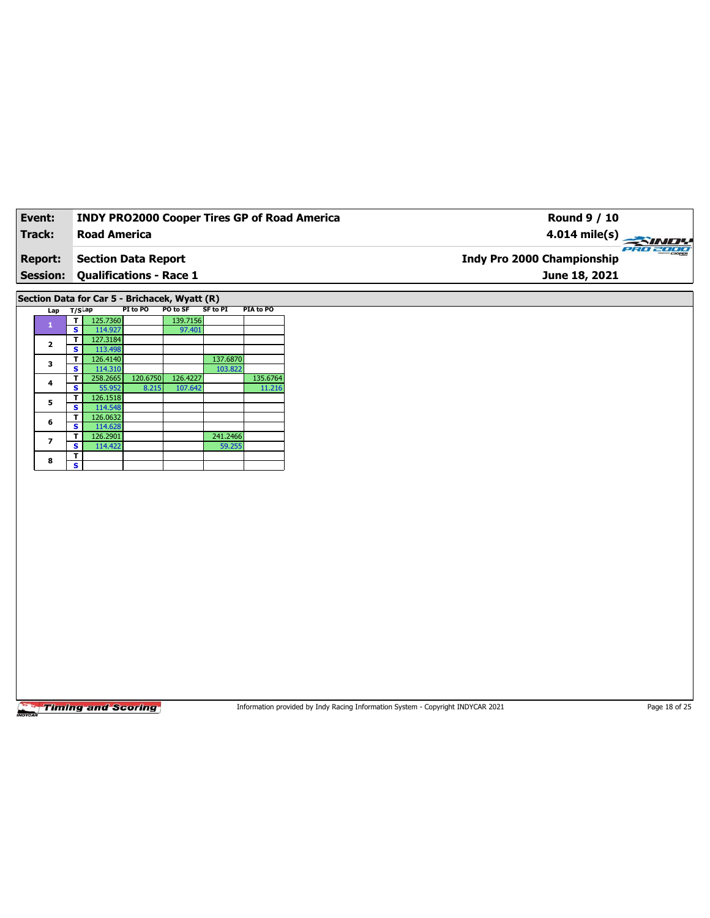| Event:                            | <b>INDY PRO2000 Cooper Tires GP of Road America</b>   | <b>Round 9 / 10</b>                                            |
|-----------------------------------|-------------------------------------------------------|----------------------------------------------------------------|
| Track:                            | <b>Road America</b>                                   | $4.014 \text{ mile(s)}$                                        |
| <b>Report:</b><br><b>Session:</b> | Section Data Report<br><b>Qualifications - Race 1</b> | PRO 2000<br><b>Indy Pro 2000 Championship</b><br>June 18, 2021 |
|                                   |                                                       |                                                                |

**Section Data for Car 5 - Brichacek, Wyatt (R)**

| Lap                     | $T/S$ ap |          | PI to PO | PO to SF | SF to PI | PIA to PO |  |  |
|-------------------------|----------|----------|----------|----------|----------|-----------|--|--|
| 1                       |          | 125.7360 |          | 139.7156 |          |           |  |  |
|                         | s        | 114.927  |          | 97.401   |          |           |  |  |
| $\overline{\mathbf{2}}$ | т        | 127.3184 |          |          |          |           |  |  |
|                         | s        | 113.498  |          |          |          |           |  |  |
| 3                       | т        | 126.4140 |          |          | 137.6870 |           |  |  |
|                         | s        | 114.310  |          |          | 103.822  |           |  |  |
| 4                       | т        | 258.2665 | 120.6750 | 126.4227 |          | 135.6764  |  |  |
|                         | s        | 55.952   | 8.215    | 107.642  |          | 11.216    |  |  |
| 5                       | т        | 126.1518 |          |          |          |           |  |  |
|                         | s        | 114.548  |          |          |          |           |  |  |
| 6                       | т        | 126.0632 |          |          |          |           |  |  |
|                         | s        | 114.628  |          |          |          |           |  |  |
| 7                       | т        | 126.2901 |          |          | 241.2466 |           |  |  |
|                         | S        | 114.422  |          |          | 59.255   |           |  |  |
| 8                       | т        |          |          |          |          |           |  |  |
|                         | s        |          |          |          |          |           |  |  |

**Timing and Scoring** 

Information provided by Indy Racing Information System - Copyright INDYCAR 2021 Page 18 of 25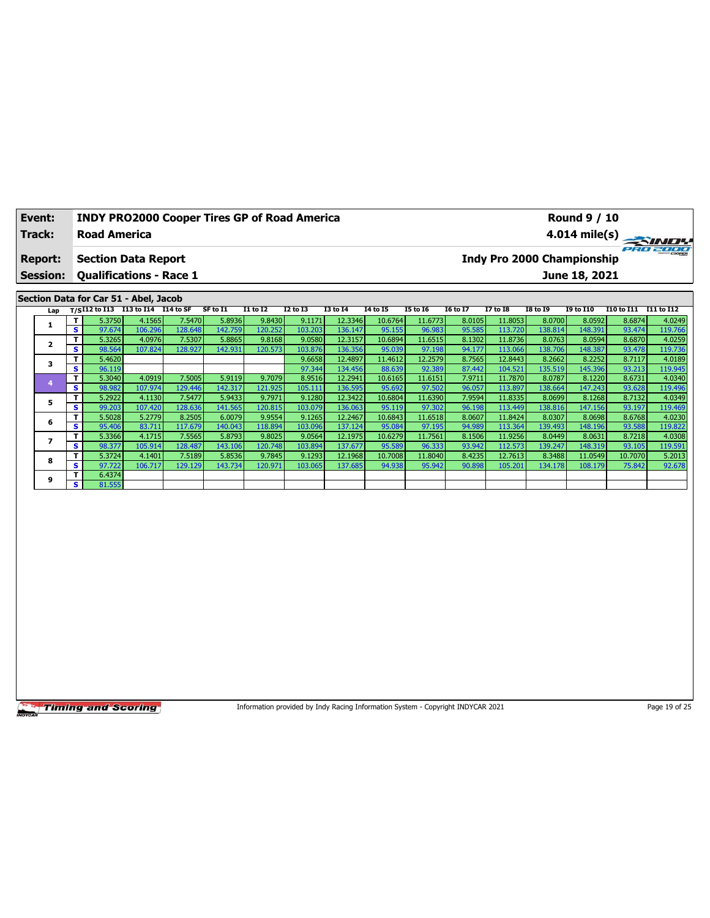| Event:                            | <b>INDY PRO2000 Cooper Tires GP of Road America</b>          |          |                         |                 |                 |          | <b>Round 9 / 10</b> |                 |                 |                 |                                             |            |            |
|-----------------------------------|--------------------------------------------------------------|----------|-------------------------|-----------------|-----------------|----------|---------------------|-----------------|-----------------|-----------------|---------------------------------------------|------------|------------|
| Track:                            | <b>Road America</b>                                          |          | $4.014 \text{ mile(s)}$ |                 |                 |          |                     |                 |                 |                 |                                             |            |            |
| <b>Report:</b><br><b>Session:</b> | <b>Section Data Report</b><br><b>Qualifications - Race 1</b> |          |                         |                 |                 |          |                     |                 |                 |                 | Indy Pro 2000 Championship<br>June 18, 2021 |            | ero zoor   |
|                                   |                                                              |          |                         |                 |                 |          |                     |                 |                 |                 |                                             |            |            |
|                                   | Section Data for Car 51 - Abel, Jacob                        |          |                         |                 |                 |          |                     |                 |                 |                 |                                             |            |            |
|                                   | Lap T/SI12 to I13 I13 to I14 I14 to SF                       | SF to I1 | <b>I1 to I2</b>         | <b>I2 to I3</b> | <b>I3 to I4</b> | 14 to 15 | I5 to 16            | <b>16 to 17</b> | <b>I7 to I8</b> | <b>I8 to 19</b> | <b>19 to 110</b>                            | I10 to I11 | I11 to I12 |

| .ap | .  |        |         |         |         |         |         |         |         |         |        |           |         |         |         |         |
|-----|----|--------|---------|---------|---------|---------|---------|---------|---------|---------|--------|-----------|---------|---------|---------|---------|
|     |    | 5.3750 | 4.1565  | 7.5470  | 5.8936  | 9.8430  | 9.1171  | 12.3346 | 10.6764 | 11.6773 | 8.0105 | 11.8053   | 8.0700  | 8.0592  | 8.6874  | 4.0249  |
|     | s  | 97.674 | 106.296 | 128.648 | 142.759 | 120.252 | 103.203 | 136.147 | 95.155  | 96.983  | 95.585 | 113.720 l | 138.814 | 148.391 | 93.474  | 119.766 |
|     | т. | 5.3265 | 4.0976  | 7.5307  | 5.8865  | 9.8168  | 9.0580  | 12.3157 | 10.6894 | 11.6515 | 8.1302 | 11.8736   | 8.0763  | 8.0594  | 8.6870  | 4.0259  |
|     | s  | 98.564 | 107.824 | 128.927 | 142.931 | 120.573 | 103.876 | 136.356 | 95.039  | 97.198  | 94.177 | 113.066   | 138.706 | 148.387 | 93.478  | 119.736 |
|     |    | 5.4620 |         |         |         |         | 9.6658  | 12.4897 | 11.4612 | 12.2579 | 8.7565 | 12.8443   | 8.2662  | 8.2252  | 8.7117  | 4.0189  |
|     | s  | 96.119 |         |         |         |         | 97.344  | 134.456 | 88.639  | 92.389  | 87.442 | 104.521   | 135.519 | 145.396 | 93.213  | 119.945 |
|     |    | 5.3040 | 4.0919  | 7.5005  | 5.9119  | 9.7079  | 8.9516  | 12.2941 | 10.6165 | 11.6151 | 7.9711 | 11.7870   | 8.0787  | 8.1220  | 8.6731  | 4.0340  |
|     | s. | 98.982 | 107.974 | 129.446 | 142.317 | 121.925 | 105.111 | 136.595 | 95.692  | 97.502  | 96.057 | 113.897   | 138.664 | 147.243 | 93.628  | 119.496 |
| 5   |    | 5.2922 | 4.1130  | 7.5477  | 5.9433  | 9.7971  | 9.1280  | 12.3422 | 10.6804 | 11.6390 | 7.9594 | 11.8335   | 8.0699  | 8.1268  | 8.7132  | 4.0349  |
|     | s  | 99.203 | 107.420 | 128.636 | 141.565 | 120.815 | 103.079 | 136.063 | 95.119  | 97.302  | 96.198 | 113.449   | 138.816 | 147.156 | 93.197  | 119.469 |
| 6   |    | 5.5028 | 5.2779  | 8.2505  | 6.0079  | 9.9554  | 9.1265  | 12.2467 | 10.6843 | 11.6518 | 8.0607 | 11.8424   | 8.0307  | 8.0698  | 8.6768  | 4.0230  |
|     | s. | 95.406 | 83.711  | 117.679 | 140.043 | 118.894 | 103.096 | 137.124 | 95.084  | 97.195  | 94.989 | 113.364   | 139.493 | 148.196 | 93.588  | 119.822 |
|     |    | 5.3366 | 4.1715  | 7.5565  | 5.8793  | 9.8025  | 9.0564  | 12.1975 | 10.6279 | 11.7561 | 8.1506 | 11.9256   | 8.0449  | 8.0631  | 8.7218  | 4.0308  |
|     | s. | 98.377 | 105.914 | 128.487 | 143.106 | 120.748 | 103.894 | 137.677 | 95.589  | 96.333  | 93.942 | 112.573   | 139.247 | 148.319 | 93.105  | 119.591 |
| 8   |    | 5.3724 | 4.1401  | 7.5189  | 5.8536  | 9.7845  | 9.1293  | 12.1968 | 10.7008 | 11.8040 | 8.4235 | 12.7613   | 8.3488  | 11.0549 | 10.7070 | 5.2013  |
|     | s. | 97.722 | 106.717 | 129.129 | 143.734 | 120.971 | 103.065 | 137.685 | 94.938  | 95.942  | 90.898 | 105.201   | 134.178 | 108.179 | 75.842  | 92.678  |
| 9   |    | 6.4374 |         |         |         |         |         |         |         |         |        |           |         |         |         |         |
|     | s. | 81.555 |         |         |         |         |         |         |         |         |        |           |         |         |         |         |

Information provided by Indy Racing Information System - Copyright INDYCAR 2021 Page 19 of 25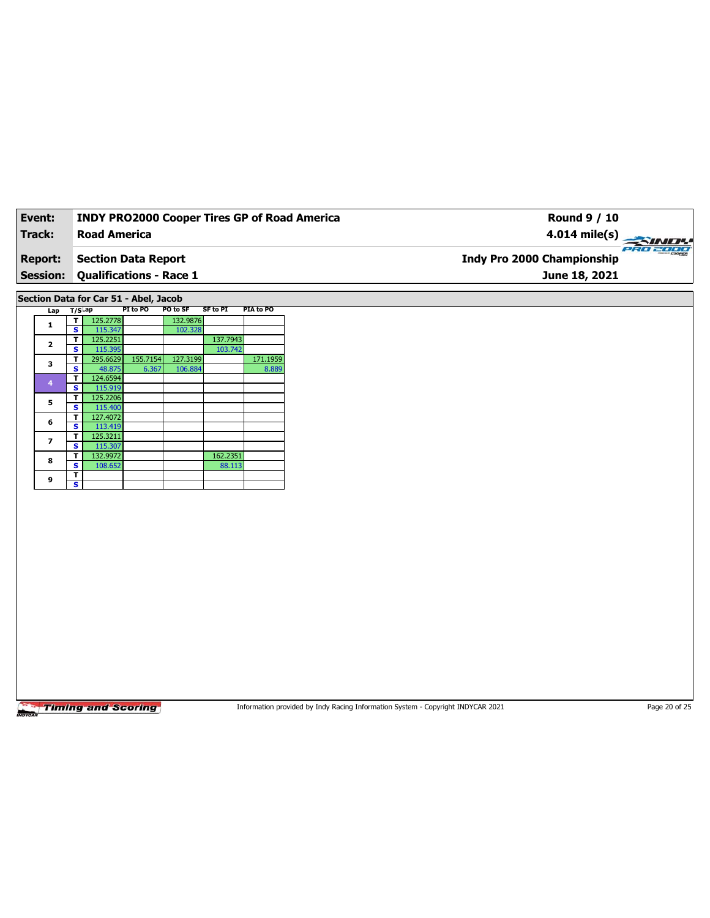| Event:          | <b>INDY PRO2000 Cooper Tires GP of Road America</b> | Round 9 / 10                                         |
|-----------------|-----------------------------------------------------|------------------------------------------------------|
| Track:          | <b>Road America</b>                                 | $4.014 \text{ mile(s)}$                              |
| <b>Report:</b>  | Section Data Report                                 | <b>PRO 2000</b><br><b>Indy Pro 2000 Championship</b> |
| <b>Session:</b> | <b>Qualifications - Race 1</b>                      | June 18, 2021                                        |

**Section Data for Car 51 - Abel, Jacob**

| Lap                     | $T/S$ Lap |          | PI to PO | PO to SF | <b>SF to PI</b> | PIA to PO |
|-------------------------|-----------|----------|----------|----------|-----------------|-----------|
| 1                       | т         | 125.2778 |          | 132.9876 |                 |           |
|                         | s         | 115.347  |          | 102.328  |                 |           |
| $\overline{\mathbf{2}}$ | т         | 125.2251 |          |          | 137.7943        |           |
|                         | s         | 115.395  |          |          | 103.742         |           |
| 3                       | т         | 295.6629 | 155.7154 | 127.3199 |                 | 171.1959  |
|                         | S         | 48.875   | 6.367    | 106.884  |                 | 8.889     |
| 4                       | т         | 124.6594 |          |          |                 |           |
|                         | s         | 115.919  |          |          |                 |           |
|                         | т         | 125.2206 |          |          |                 |           |
| 5                       | S         | 115,400  |          |          |                 |           |
| 6                       | т         | 127.4072 |          |          |                 |           |
|                         | s         | 113.419  |          |          |                 |           |
| 7                       | т         | 125.3211 |          |          |                 |           |
|                         | s         | 115.307  |          |          |                 |           |
| 8                       | т         | 132.9972 |          |          | 162.2351        |           |
|                         | s         | 108.652  |          |          | 88.113          |           |
| 9                       | т         |          |          |          |                 |           |
|                         | s         |          |          |          |                 |           |

**Timing and Scoring** 

Information provided by Indy Racing Information System - Copyright INDYCAR 2021 Page 20 of 25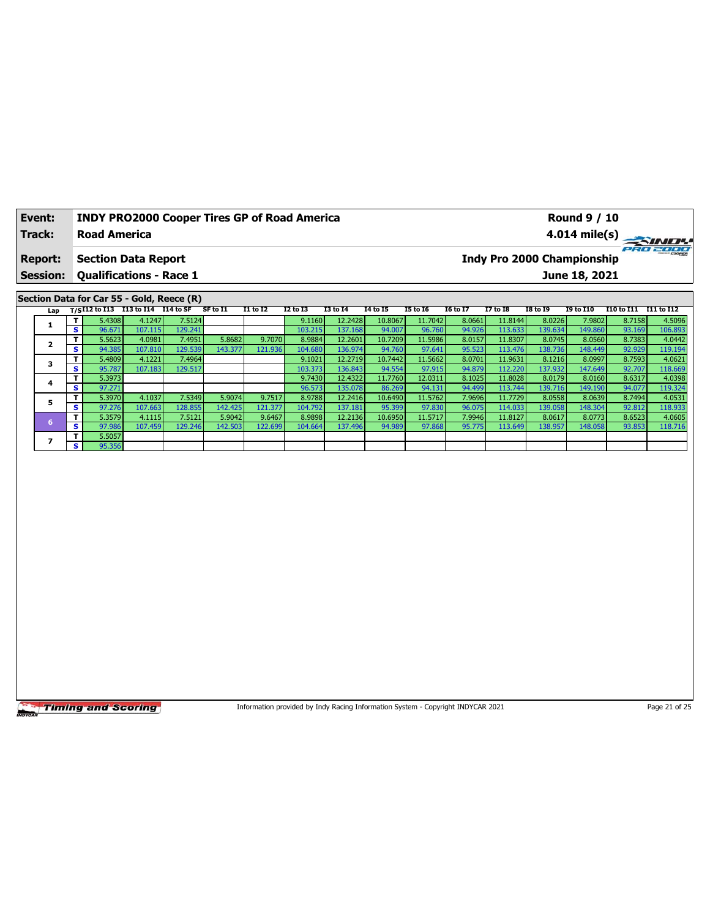| Event:         | <b>INDY PRO2000 Cooper Tires GP of Road America</b> | <b>Round 9 / 10</b>                           |
|----------------|-----------------------------------------------------|-----------------------------------------------|
| Track:         | <b>Road America</b>                                 | $4.014 \text{ mile(s)}$                       |
| <b>Report:</b> | <b>Section Data Report</b>                          | PRO 2000<br><b>Indy Pro 2000 Championship</b> |
|                | <b>Session: Qualifications - Race 1</b>             | June 18, 2021                                 |
|                | Section Data for Car 55 - Gold, Reece (R)           |                                               |

| Lap |    |        | T/SI12 to I13 I13 to I14 I14 to SF |         | SF to I1 | <b>I1 to I2</b> | <b>I2 to I3</b> | <b>I3 to I4</b> | 14 to 15 | <b>I5 to 16</b> | <b>I6 to I7</b> | <b>I7 to I8</b> | I8 to 19 | <b>I9 to I10</b> | I10 to I11 | I11 to I12 |
|-----|----|--------|------------------------------------|---------|----------|-----------------|-----------------|-----------------|----------|-----------------|-----------------|-----------------|----------|------------------|------------|------------|
|     |    | 5.4308 | 4.1247                             | 7.5124  |          |                 | 9.1160          | 12.2428         | 10.8067  | 11.7042         | 8.0661          | 11.8144         | 8.0226   | 7.9802           | 8.7158     | 4.5096     |
|     | s  | 96.671 | 107.115                            | 129.241 |          |                 | 103.215         | 137.168         | 94.007   | 96.760          | 94.926          | 113.633         | 139.634  | 149.860          | 93.169     | 106.893    |
|     |    | 5.5623 | 4.0981                             | 7.4951  | 5.8682   | 9.7070          | 8.9884          | 12.2601         | 10.7209  | 11.5986         | 8.0157          | 11.8307         | 8.0745   | 8.0560           | 8.7383     | 4.0442     |
|     | s  | 94.385 | 107.810                            | 129.539 | 143.377  | 121.936         | 104.680         | 136.974         | 94.760   | 97.641          | 95.523          | 113.476         | 138.736  | 148.449          | 92.929     | 119.194    |
|     |    | 5.4809 | 4.1221                             | 7.4964  |          |                 | 9.1021          | 12.2719         | 10.7442  | 11.5662         | 8.0701          | 11.9631         | 8.1216   | 8.0997           | 8.7593     | 4.0621     |
|     | s  | 95.787 | 107.183                            | 129.517 |          |                 | 103.373         | 136.843         | 94.554   | 97.915          | 94.879          | 112.220         | 137.932  | 147.649          | 92.707     | 118.669    |
|     | Τ  | 5.3973 |                                    |         |          |                 | 9.7430          | 12.4322         | 11.7760  | 12.0311         | 8.1025          | 11.8028         | 8.0179   | 8.0160           | 8.6317     | 4.0398     |
|     | s. | 97.271 |                                    |         |          |                 | 96.573          | 135.078         | 86.269   | 94.131          | 94.499          | 113.744         | 139.716  | 149.190          | 94.077     | 119.324    |
|     |    | 5.3970 | 4.1037                             | 7.5349  | 5.9074   | 9.7517          | 8.9788          | 12.2416         | 10.6490  | 11.5762         | 7.9696          | 11.7729         | 8.0558   | 8.0639           | 8.7494     | 4.0531     |
|     | s  | 97.276 | 107.663                            | 128.855 | 142.425  | 121.377         | 104.792         | 137.181         | 95.399   | 97.830          | 96.075          | 114.033         | 139.058  | 148.304          | 92.812     | 118.933    |
|     |    | 5.3579 | 4.1115                             | 7.5121  | 5.9042   | 9.6467          | 8.9898          | 12.2136         | 10.6950  | 11.5717         | 7.9946          | 11.8127         | 8.0617   | 8.0773           | 8.6523     | 4.0605     |
|     | s. | 97.986 | 107.459                            | 129.246 | 142.503  | 122.699         | 104.664         | 137.496         | 94.989   | 97.868          | 95.775          | 113.649         | 138.957  | 148.058          | 93.853     | 118.716    |
|     |    | 5.5057 |                                    |         |          |                 |                 |                 |          |                 |                 |                 |          |                  |            |            |
|     | s. | 95.356 |                                    |         |          |                 |                 |                 |          |                 |                 |                 |          |                  |            |            |

Information provided by Indy Racing Information System - Copyright INDYCAR 2021 Page 21 of 25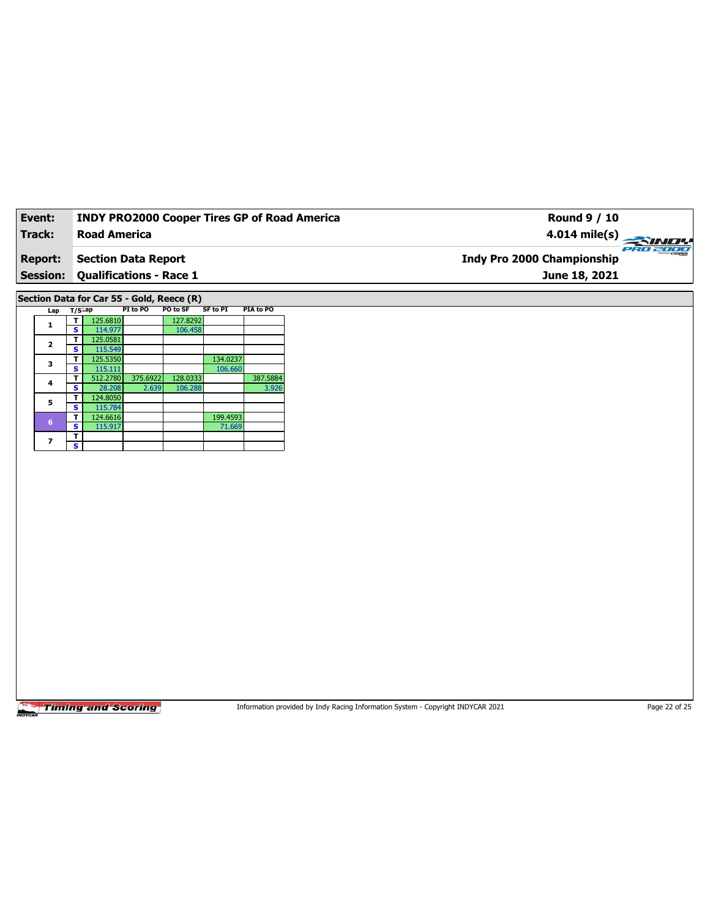| Event:          | <b>INDY PRO2000 Cooper Tires GP of Road America</b> | Round 9 / 10                                            |          |
|-----------------|-----------------------------------------------------|---------------------------------------------------------|----------|
| Track:          | <b>Road America</b>                                 | $4.014 \text{ mile(s)} \rightarrow 4.014 \text{ miles}$ |          |
| <b>Report:</b>  | <b>Section Data Report</b>                          | <b>Indy Pro 2000 Championship</b>                       | PRO 2000 |
| <b>Session:</b> | <b>Qualifications - Race 1</b>                      | June 18, 2021                                           |          |
|                 |                                                     |                                                         |          |

**Section Data for Car 55 - Gold, Reece (R)**

| Lap | $T/S$ ap |          | PI to PO | PO to SF | SF to PI | PIA to PO |
|-----|----------|----------|----------|----------|----------|-----------|
| 1   |          | 125.6810 |          | 127.8292 |          |           |
|     | s        | 114.977  |          | 106.458  |          |           |
| 2   | т        | 125.0581 |          |          |          |           |
|     | s        | 115.549  |          |          |          |           |
| 3   | т        | 125.5350 |          |          | 134.0237 |           |
|     | s        | 115.111  |          |          | 106.660  |           |
| 4   | т        | 512.2780 | 375.6922 | 128.0333 |          | 387.5884  |
|     | s        | 28.208   | 2.639    | 106.288  |          | 3.926     |
| 5   | т        | 124.8050 |          |          |          |           |
|     | s        | 115.784  |          |          |          |           |
| 6   |          | 124.6616 |          |          | 199.4593 |           |
|     | s        | 115.917  |          |          | 71.669   |           |
| 7   | т        |          |          |          |          |           |
|     | s        |          |          |          |          |           |

**Timing and Scoring** 

Information provided by Indy Racing Information System - Copyright INDYCAR 2021 Page 22 of 25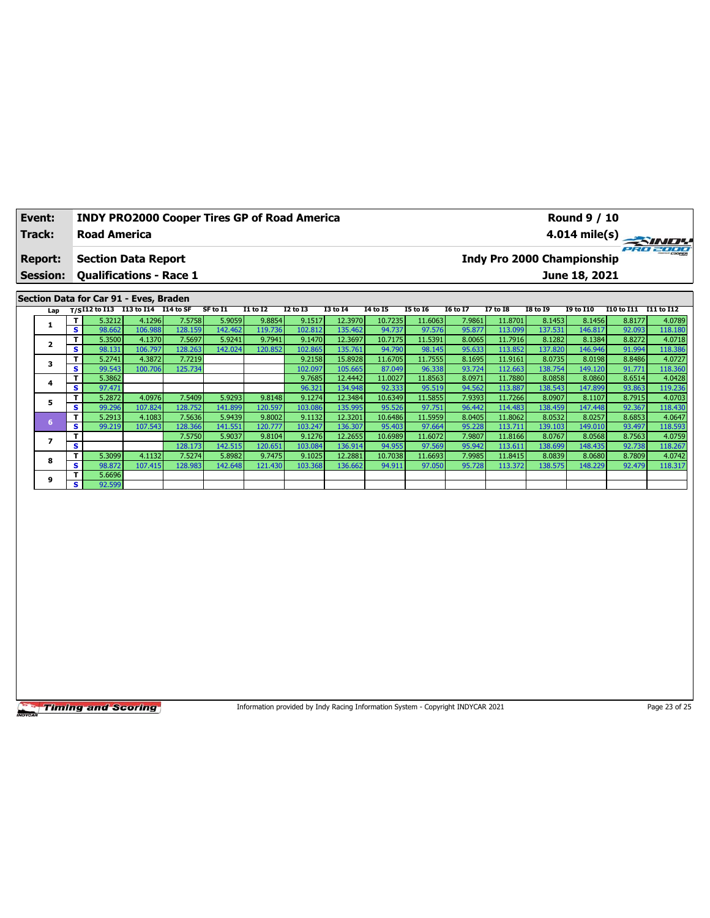| Event:  | <b>INDY PRO2000 Cooper Tires GP of Road America</b> | <b>Round 9 / 10</b>                    |
|---------|-----------------------------------------------------|----------------------------------------|
| Track:  | <b>Road America</b>                                 |                                        |
| Report: | <b>Section Data Report</b>                          | PRO 2000<br>Indy Pro 2000 Championship |
|         | <b>Session: Qualifications - Race 1</b>             | June 18, 2021                          |
|         | Section Data for Car 91 - Eves, Braden              |                                        |

|  | Lap |     |        | T/SI12 to I13 I13 to I14 I14 to SF |         | SF to I1 | I1 to I2 | I2 to I3 | <b>I3 to I4</b> | 14 to 15 | <b>I5 to 16</b> | 16 to 17 | <b>I7 to I8</b> | <b>I8 to I9</b> | <b>I9 to I10</b> | I10 to I11 | I11 to I12 |
|--|-----|-----|--------|------------------------------------|---------|----------|----------|----------|-----------------|----------|-----------------|----------|-----------------|-----------------|------------------|------------|------------|
|  |     | т.  | 5.3212 | 4.1296                             | 7.5758  | 5.9059   | 9.8854   | 9.1517   | 12.3970         | 10.7235  | 11.6063         | 7.9861   | 11.8701         | 8.1453          | 8.1456           | 8.8177     | 4.0789     |
|  |     | s   | 98.662 | 106.988                            | 128.159 | 142.462  | 119.736  | 102.812  | 135.462         | 94.737   | 97.576          | 95.877   | 113.099         | 137.531         | 146.817          | 92.093     | 118.180    |
|  | 2   | т.  | 5.3500 | 4.1370                             | 7.5697  | 5.9241   | 9.7941   | 9.1470   | 12.3697         | 10.7175  | 11.5391         | 8.0065   | 11.7916         | 8.1282          | 8.1384           | 8.8272     | 4.0718     |
|  |     | s.  | 98.131 | 106.797                            | 128.263 | 142.024  | 120.852  | 102.865  | 135.761         | 94.790   | 98.145          | 95.633   | 113.852         | 137.820         | 146.946          | 91.994     | 118.386    |
|  | 3   | т.  | 5.2741 | 4.3872                             | 7.7219  |          |          | 9.2158   | 15.8928         | 11.6705  | 11.7555         | 8.1695   | 11.9161         | 8.0735          | 8.0198           | 8.8486     | 4.0727     |
|  |     | s   | 99.543 | 100.706                            | 125.734 |          |          | 102.097  | 105.665         | 87.049   | 96.338          | 93.724   | 112.663         | 138.754         | 149.120          | 91.771     | 118.360    |
|  | 4   | т.  | 5.3862 |                                    |         |          |          | 9.7685   | 12.4442         | 11.0027  | 11.8563         | 8.0971   | 11.7880         | 8.0858          | 8.0860           | 8.6514     | 4.0428     |
|  |     | s.  | 97.471 |                                    |         |          |          | 96.321   | 134.948         | 92.333   | 95.519          | 94.562   | 113.887         | 138.543         | 147.899          | 93.863     | 119.236    |
|  | 5   | т   | 5.2872 | 4.0976                             | 7.5409  | 5.9293   | 9.8148   | 9.1274   | 12.3484         | 10.6349  | 11.5855         | 7.9393   | 11.7266         | 8.0907          | 8.1107           | 8.7915     | 4.0703     |
|  |     | s   | 99.296 | 107.824                            | 128.752 | 141.899  | 120.597  | 103.086  | 135.995         | 95.526   | 97.751          | 96.442   | 114.483         | 138.459         | 147.448          | 92.367     | 118.430    |
|  | 6   | т   | 5.2913 | 4.1083                             | 7.5636  | 5.9439   | 9.8002   | 9.1132   | 12.3201         | 10.6486  | 11.5959         | 8.0405   | 11.8062         | 8.0532          | 8.0257           | 8.6853     | 4.0647     |
|  |     | s.  | 99.219 | 107.543                            | 128.366 | 141.551  | 120.777  | 103.247  | 136.307         | 95.403   | 97.664          | 95.228   | 113.711         | 139.103         | 149.010          | 93.497     | 118.593    |
|  |     | т   |        |                                    | 7.5750  | 5.9037   | 9.8104   | 9.1276   | 12.2655         | 10.6989  | 11.6072         | 7.9807   | 11.8166         | 8.0767          | 8.0568           | 8.7563     | 4.0759     |
|  |     | s   |        |                                    | 128.173 | 142.515  | 120.651  | 103.084  | 136.914         | 94.955   | 97.569          | 95.942   | 113.611         | 138.699         | 148.435          | 92.738     | 118.267    |
|  | 8   | T.  | 5.3099 | 4.1132                             | 7.5274  | 5.8982   | 9.7475   | 9.1025   | 12.2881         | 10.7038  | 11.6693         | 7.9985   | 11.8415         | 8.0839          | 8.0680           | 8.7809     | 4.0742     |
|  |     | s.  | 98.872 | 107.415                            | 128.983 | 142.648  | 121.430  | 103.368  | 136.662         | 94.911   | 97.050          | 95.728   | 113.372         | 138.575         | 148.229          | 92.479     | 118.317    |
|  |     | т.  | 5.6696 |                                    |         |          |          |          |                 |          |                 |          |                 |                 |                  |            |            |
|  | 9   | s l | 92.599 |                                    |         |          |          |          |                 |          |                 |          |                 |                 |                  |            |            |

Information provided by Indy Racing Information System - Copyright INDYCAR 2021 Page 23 of 25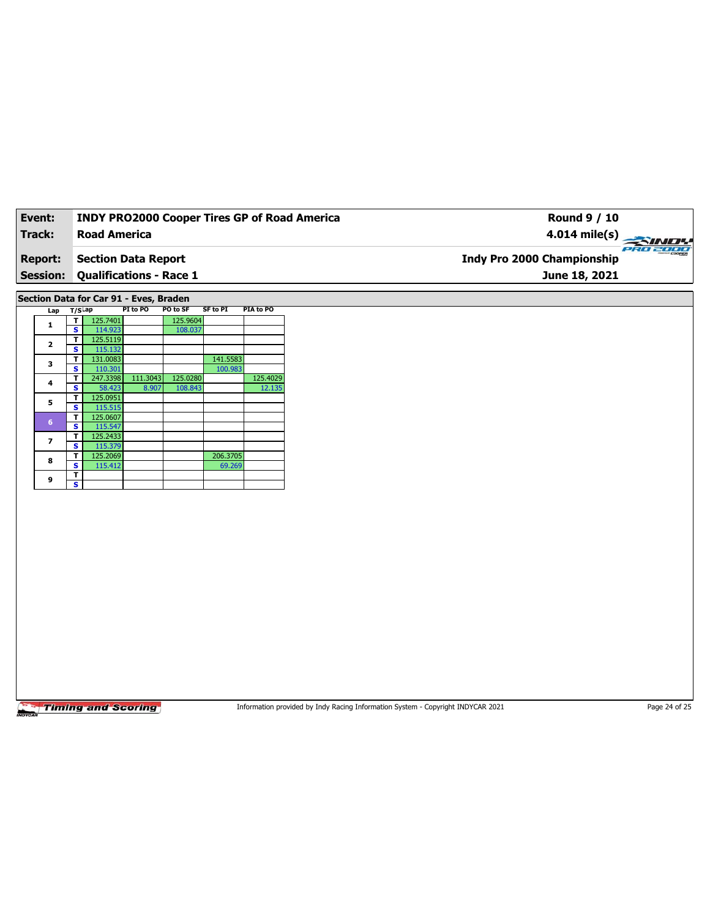| Event:          | <b>INDY PRO2000 Cooper Tires GP of Road America</b> | Round 9 / 10                                         |
|-----------------|-----------------------------------------------------|------------------------------------------------------|
| Track:          | <b>Road America</b>                                 | $4.014 \text{ mile(s)}$                              |
| <b>Report:</b>  | Section Data Report                                 | <b>PRO 2000</b><br><b>Indy Pro 2000 Championship</b> |
| <b>Session:</b> | <b>Qualifications - Race 1</b>                      | June 18, 2021                                        |

**Section Data for Car 91 - Eves, Braden**

| Lap                     | $T/S$ Lap |          | PI to PO | PO to SF | <b>SF to PI</b> | PIA to PO |
|-------------------------|-----------|----------|----------|----------|-----------------|-----------|
| 1                       | т         | 125.7401 |          | 125.9604 |                 |           |
|                         | S         | 114.923  |          | 108.037  |                 |           |
| $\overline{\mathbf{2}}$ | т         | 125.5119 |          |          |                 |           |
|                         | S         | 115.132  |          |          |                 |           |
| 3                       | т         | 131.0083 |          |          | 141.5583        |           |
|                         | S         | 110.301  |          |          | 100.983         |           |
| 4                       | т         | 247.3398 | 111.3043 | 125.0280 |                 | 125.4029  |
|                         | S         | 58.423   | 8.907    | 108.843  |                 | 12.135    |
| 5                       | т         | 125.0951 |          |          |                 |           |
|                         | S         | 115.515  |          |          |                 |           |
| $6\phantom{1}6$         | т         | 125.0607 |          |          |                 |           |
|                         | s         | 115.547  |          |          |                 |           |
| 7                       | т         | 125.2433 |          |          |                 |           |
|                         | s         | 115.379  |          |          |                 |           |
| 8                       | т         | 125.2069 |          |          | 206.3705        |           |
|                         | s         | 115.412  |          |          | 69.269          |           |
| 9                       | т         |          |          |          |                 |           |
|                         | s         |          |          |          |                 |           |

**Timing and Scoring** 

Information provided by Indy Racing Information System - Copyright INDYCAR 2021 Page 24 of 25